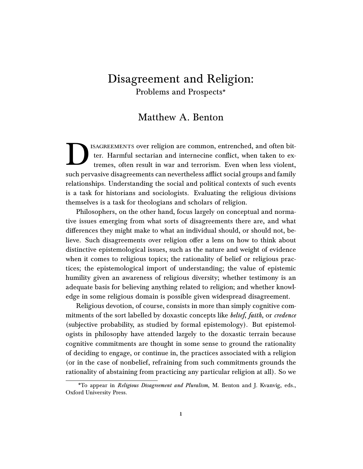# Disagreement and Religion: Problems and Prospects[\\*](#page-0-0)

## Matthew A. Benton

D ISAGREEMENTS over religion are common, entrenched, and often bitter. Harmful sectarian and internecine conflict, when taken to extremes, often result in war and terrorism. Even when less violent, such pervasive disagreements can nevertheless afflict social groups and family relationships. Understanding the social and political contexts of such events is a task for historians and sociologists. Evaluating the religious divisions themselves is a task for theologians and scholars of religion.

Philosophers, on the other hand, focus largely on conceptual and normative issues emerging from what sorts of disagreements there are, and what differences they might make to what an individual should, or should not, believe. Such disagreements over religion offer a lens on how to think about distinctive epistemological issues, such as the nature and weight of evidence when it comes to religious topics; the rationality of belief or religious practices; the epistemological import of understanding; the value of epistemic humility given an awareness of religious diversity; whether testimony is an adequate basis for believing anything related to religion; and whether knowledge in some religious domain is possible given widespread disagreement.

Religious devotion, of course, consists in more than simply cognitive commitments of the sort labelled by doxastic concepts like *belief*, faith, or credence (subjective probability, as studied by formal epistemology). But epistemologists in philosophy have attended largely to the doxastic terrain because cognitive commitments are thought in some sense to ground the rationality of deciding to engage, or continue in, the practices associated with a religion (or in the case of nonbelief, refraining from such commitments grounds the rationality of abstaining from practicing any particular religion at all). So we

<span id="page-0-0"></span><sup>\*</sup>To appear in Religious Disagreement and Pluralism, M. Benton and J. Kvanvig, eds., Oxford University Press.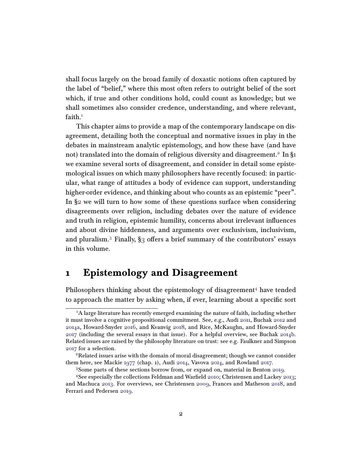shall focus largely on the broad family of doxastic notions often captured by the label of "belief," where this most often refers to outright belief of the sort which, if true and other conditions hold, could count as knowledge; but we shall sometimes also consider credence, understanding, and where relevant,  $faith.1$  $faith.1$ 

This chapter aims to provide a map of the contemporary landscape on disagreement, detailing both the conceptual and normative issues in play in the debates in mainstream analytic epistemology, and how these have (and have not) translated into the domain of religious diversity and disagreement. $^2$  $^2$  In [§1](#page-1-2)  $^{\circ}$ we examine several sorts of disagreement, and consider in detail some epistemological issues on which many philosophers have recently focused: in particular, what range of attitudes a body of evidence can support, understanding higher-order evidence, and thinking about who counts as an epistemic "peer". In [§2](#page-15-0) we will turn to how some of these questions surface when considering disagreements over religion, including debates over the nature of evidence and truth in religion, epistemic humility, concerns about irrelevant influences and about divine hiddenness, and arguments over exclusivism, inclusivism, and pluralism.<sup>[3](#page-1-3)</sup> Finally,  $\S$ 3 offers a brief summary of the contributors' essays in this volume.

# <span id="page-1-2"></span>1 Epistemology and Disagreement

Philosophers thinking about the epistemology of disagreement $4$  have tended to approach the matter by asking when, if ever, learning about a specific sort

<span id="page-1-0"></span><sup>&</sup>lt;sup>1</sup>A large literature has recently emerged examining the nature of faith, including whether it must involve a cognitive propositional commitment. See, e.g., Audi [2011,](#page-34-0) Buchak [2012](#page-35-0) and [2014a,](#page-36-0) Howard-Snyder [2016,](#page-38-0) and Kvanvig [2018,](#page-40-0) and Rice, McKaughn, and Howard-Snyder [2017](#page-42-0) (including the several essays in that issue). For a helpful overview, see Buchak [2014b.](#page-36-1) Related issues are raised by the philosophy literature on trust: see e.g. Faulkner and Simpson [2017](#page-37-0) for a selection.

<span id="page-1-1"></span><sup>&</sup>lt;sup>2</sup>Related issues arise with the domain of moral disagreement; though we cannot consider them here, see Mackie [1977](#page-40-1) (chap. 1), Audi [2014,](#page-34-1) Vavova [2014,](#page-43-0) and Rowland [2017.](#page-42-1)

<span id="page-1-4"></span><span id="page-1-3"></span><sup>3</sup>Some parts of these sections borrow from, or expand on, material in Benton [2019.](#page-35-1)

<sup>4</sup>See especially the collections Feldman and Warfield [2010;](#page-37-1) Christensen and Lackey [2013;](#page-36-2) and Machuca [2013.](#page-40-2) For overviews, see Christensen [2009,](#page-36-3) Frances and Matheson [2018,](#page-37-2) and Ferrari and Pedersen [2019.](#page-37-3)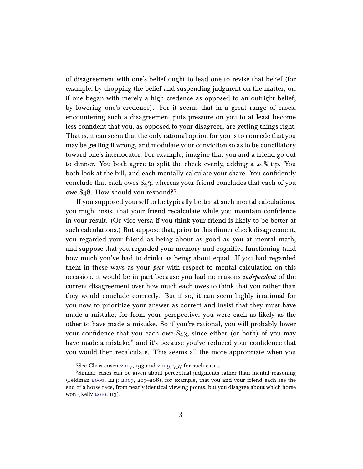of disagreement with one's belief ought to lead one to revise that belief (for example, by dropping the belief and suspending judgment on the matter; or, if one began with merely a high credence as opposed to an outright belief, by lowering one's credence). For it seems that in a great range of cases, encountering such a disagreement puts pressure on you to at least become less confident that you, as opposed to your disagreer, are getting things right. That is, it can seem that the only rational option for you is to concede that you may be getting it wrong, and modulate your conviction so as to be conciliatory toward one's interlocutor. For example, imagine that you and a friend go out to dinner. You both agree to split the check evenly, adding a 20% tip. You both look at the bill, and each mentally calculate your share. You confidently conclude that each owes \$43, whereas your friend concludes that each of you owe  $\frac{6}{48}$ . How should you respond?<sup>[5](#page-2-0)</sup>

If you supposed yourself to be typically better at such mental calculations, you might insist that your friend recalculate while you maintain confidence in your result. (Or vice versa if you think your friend is likely to be better at such calculations.) But suppose that, prior to this dinner check disagreement, you regarded your friend as being about as good as you at mental math, and suppose that you regarded your memory and cognitive functioning (and how much you've had to drink) as being about equal. If you had regarded them in these ways as your *peer* with respect to mental calculation on this occasion, it would be in part because you had no reasons independent of the current disagreement over how much each owes to think that you rather than they would conclude correctly. But if so, it can seem highly irrational for you now to prioritize your answer as correct and insist that they must have made a mistake; for from your perspective, you were each as likely as the other to have made a mistake. So if you're rational, you will probably lower your confidence that you each owe  $\frac{2}{3}$ , since either (or both) of you may have made a mistake;<sup>[6](#page-2-1)</sup> and it's because you've reduced your confidence that you would then recalculate. This seems all the more appropriate when you

<span id="page-2-1"></span><span id="page-2-0"></span> $5$ See Christensen [2007,](#page-36-4) 193 and [2009,](#page-36-3) 757 for such cases.

<sup>&</sup>lt;sup>6</sup>Similar cases can be given about perceptual judgments rather than mental reasoning (Feldman [2006,](#page-37-4) 223; [2007,](#page-37-5) 207–208), for example, that you and your friend each see the end of a horse race, from nearly identical viewing points, but you disagree about which horse won (Kelly [2010,](#page-39-0) 113).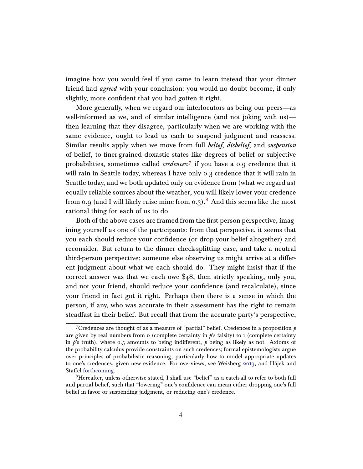imagine how you would feel if you came to learn instead that your dinner friend had *agreed* with your conclusion: you would no doubt become, if only slightly, more confident that you had gotten it right.

More generally, when we regard our interlocutors as being our peers—as well-informed as we, and of similar intelligence (and not joking with us) then learning that they disagree, particularly when we are working with the same evidence, ought to lead us each to suspend judgment and reassess. Similar results apply when we move from full belief, disbelief, and suspension of belief, to finer-grained doxastic states like degrees of belief or subjective probabilities, sometimes called *credences*:<sup>[7](#page-3-0)</sup> if you have a 0.9 credence that it will rain in Seattle today, whereas I have only 0.3 credence that it will rain in Seattle today, and we both updated only on evidence from (what we regard as) equally reliable sources about the weather, you will likely lower your credence from 0.9 (and I will likely raise mine from 0.3).<sup>[8](#page-3-1)</sup> And this seems like the most rational thing for each of us to do.

Both of the above cases are framed from the first-person perspective, imagining yourself as one of the participants: from that perspective, it seems that you each should reduce your confidence (or drop your belief altogether) and reconsider. But return to the dinner check-splitting case, and take a neutral third-person perspective: someone else observing us might arrive at a different judgment about what we each should do. They might insist that if the correct answer was that we each owe \$48, then strictly speaking, only you, and not your friend, should reduce your confidence (and recalculate), since your friend in fact got it right. Perhaps then there is a sense in which the person, if any, who was accurate in their assessment has the right to remain steadfast in their belief. But recall that from the accurate party's perspective,

<span id="page-3-0"></span><sup>&</sup>lt;sup>7</sup>Credences are thought of as a measure of "partial" belief. Credences in a proposition  $p$ are given by real numbers from  $\sigma$  (complete certainty in  $\dot{p}$ 's falsity) to 1 (complete certainty in  $p$ 's truth), where 0.5 amounts to being indifferent,  $p$  being as likely as not. Axioms of the probability calculus provide constraints on such credences; formal epistemologists argue over principles of probabilistic reasoning, particularly how to model appropriate updates to one's credences, given new evidence. For overviews, see Weisberg [2019,](#page-43-1) and Hájek and Staffel [forthcoming.](#page-38-1)

<span id="page-3-1"></span><sup>8</sup>Hereafter, unless otherwise stated, I shall use "belief" as a catch-all to refer to both full and partial belief, such that "lowering" one's confidence can mean either dropping one's full belief in favor or suspending judgment, or reducing one's credence.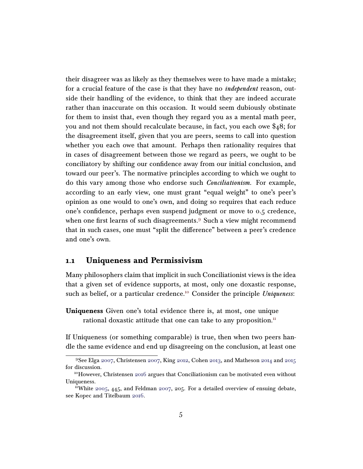their disagreer was as likely as they themselves were to have made a mistake; for a crucial feature of the case is that they have no *independent* reason, outside their handling of the evidence, to think that they are indeed accurate rather than inaccurate on this occasion. It would seem dubiously obstinate for them to insist that, even though they regard you as a mental math peer, you and not them should recalculate because, in fact, you each owe \$48; for the disagreement itself, given that you are peers, seems to call into question whether you each owe that amount. Perhaps then rationality requires that in cases of disagreement between those we regard as peers, we ought to be conciliatory by shifting our confidence away from our initial conclusion, and toward our peer's. The normative principles according to which we ought to do this vary among those who endorse such Conciliationism. For example, according to an early view, one must grant "equal weight" to one's peer's opinion as one would to one's own, and doing so requires that each reduce one's confidence, perhaps even suspend judgment or move to 0.5 credence, when one first learns of such disagreements.<sup>[9](#page-4-0)</sup> Such a view might recommend that in such cases, one must "split the difference" between a peer's credence and one's own.

### 1.1 Uniqueness and Permissivism

Many philosophers claim that implicit in such Conciliationist views is the idea that a given set of evidence supports, at most, only one doxastic response, such as belief, or a particular credence.<sup>[10](#page-4-1)</sup> Consider the principle *Uniqueness*:

Uniqueness Given one's total evidence there is, at most, one unique rational doxastic attitude that one can take to any proposition. $<sup>11</sup>$  $<sup>11</sup>$  $<sup>11</sup>$ </sup>

If Uniqueness (or something comparable) is true, then when two peers handle the same evidence and end up disagreeing on the conclusion, at least one

<span id="page-4-0"></span><sup>9</sup>See Elga [2007,](#page-37-6) Christensen [2007,](#page-36-4) King [2012,](#page-39-1) Cohen [2013,](#page-36-5) and Matheson [2014](#page-41-0) and [2015](#page-41-1) for discussion.

<span id="page-4-1"></span><sup>&</sup>lt;sup>10</sup>However, Christensen [2016](#page-36-6) argues that Conciliationism can be motivated even without Uniqueness.

<span id="page-4-2"></span><sup>&</sup>lt;sup>11</sup>White [2005,](#page-43-2) 445, and Feldman [2007,](#page-37-5) 205. For a detailed overview of ensuing debate, see Kopec and Titelbaum [2016.](#page-39-2)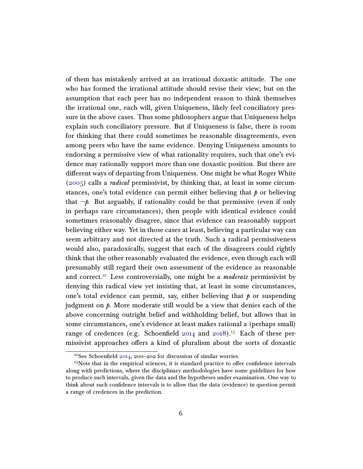of them has mistakenly arrived at an irrational doxastic attitude. The one who has formed the irrational attitude should revise their view; but on the assumption that each peer has no independent reason to think themselves the irrational one, each will, given Uniqueness, likely feel conciliatory pressure in the above cases. Thus some philosophers argue that Uniqueness helps explain such conciliatory pressure. But if Uniqueness is false, there is room for thinking that there could sometimes be reasonable disagreements, even among peers who have the same evidence. Denying Uniqueness amounts to endorsing a permissive view of what rationality requires, such that one's evidence may rationally support more than one doxastic position. But there are different ways of departing from Uniqueness. One might be what Roger White [\(2005\)](#page-43-2) calls a radical permissivist, by thinking that, at least in some circumstances, one's total evidence can permit either believing that  $\phi$  or believing that  $\neg p$ . But arguably, if rationality could be that permissive (even if only in perhaps rare circumstances), then people with identical evidence could sometimes reasonably disagree, since that evidence can reasonably support believing either way. Yet in those cases at least, believing a particular way can seem arbitrary and not directed at the truth. Such a radical permissiveness would also, paradoxically, suggest that each of the disagreers could rightly think that the other reasonably evaluated the evidence, even though each will presumably still regard their own assessment of the evidence as reasonable and correct.<sup>[12](#page-5-0)</sup> Less controversially, one might be a *moderate* permissivist by denying this radical view yet insisting that, at least in some circumstances, one's total evidence can permit, say, either believing that  $\hat{p}$  or suspending judgment on *. More moderate still would be a view that denies each of the* above concerning outright belief and withholding belief, but allows that in some circumstances, one's evidence at least makes rational a (perhaps small) range of credences (e.g. Schoenfield  $2014$  and  $2018$ ).<sup>[13](#page-5-1)</sup> Each of these permissivist approaches offers a kind of pluralism about the sorts of doxastic

<span id="page-5-1"></span><span id="page-5-0"></span><sup>12</sup>See Schoenfield [2014,](#page-42-2) 200–202 for discussion of similar worries.

<sup>&</sup>lt;sup>13</sup>Note that in the empirical sciences, it is standard practice to offer confidence intervals along with predictions, where the disciplinary methodologies have some guidelines for how to produce such intervals, given the data and the hypotheses under examination. One way to think about such confidence intervals is to allow that the data (evidence) in question permit a range of credences in the prediction.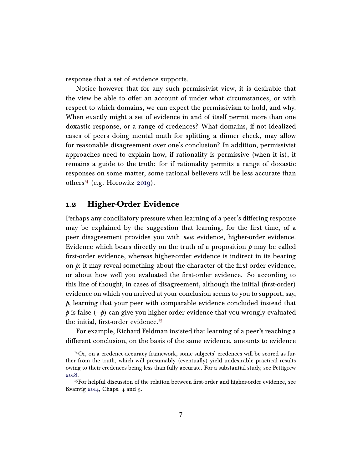response that a set of evidence supports.

Notice however that for any such permissivist view, it is desirable that the view be able to offer an account of under what circumstances, or with respect to which domains, we can expect the permissivism to hold, and why. When exactly might a set of evidence in and of itself permit more than one doxastic response, or a range of credences? What domains, if not idealized cases of peers doing mental math for splitting a dinner check, may allow for reasonable disagreement over one's conclusion? In addition, permissivist approaches need to explain how, if rationality is permissive (when it is), it remains a guide to the truth: for if rationality permits a range of doxastic responses on some matter, some rational believers will be less accurate than others<sup>[14](#page-6-0)</sup> (e.g. Horowitz  $2019$ ).

### <span id="page-6-2"></span>1.2 Higher-Order Evidence

Perhaps any conciliatory pressure when learning of a peer's differing response may be explained by the suggestion that learning, for the first time, of a peer disagreement provides you with new evidence, higher-order evidence. Evidence which bears directly on the truth of a proposition  $p$  may be called first-order evidence, whereas higher-order evidence is indirect in its bearing on  $\hat{p}$ : it may reveal something about the character of the first-order evidence, or about how well you evaluated the first-order evidence. So according to this line of thought, in cases of disagreement, although the initial (first-order) evidence on which you arrived at your conclusion seems to you to support, say,  $\phi$ , learning that your peer with comparable evidence concluded instead that p is false  $(\neg p)$  can give you higher-order evidence that you wrongly evaluated the initial, first-order evidence. $15$ 

For example, Richard Feldman insisted that learning of a peer's reaching a different conclusion, on the basis of the same evidence, amounts to evidence

<span id="page-6-0"></span><sup>14</sup>Or, on a credence-accuracy framework, some subjects' credences will be scored as further from the truth, which will presumably (eventually) yield undesirable practical results owing to their credences being less than fully accurate. For a substantial study, see Pettigrew [2018.](#page-41-2)

<span id="page-6-1"></span><sup>&</sup>lt;sup>15</sup>For helpful discussion of the relation between first-order and higher-order evidence, see Kvanvig  $2014$ , Chaps. 4 and 5.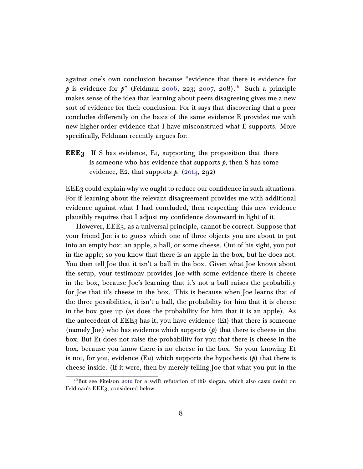against one's own conclusion because "evidence that there is evidence for p is evidence for p" (Feldman [2006,](#page-37-4) 223; [2007,](#page-37-5) 208).<sup>[16](#page-7-0)</sup> Such a principle makes sense of the idea that learning about peers disagreeing gives me a new sort of evidence for their conclusion. For it says that discovering that a peer concludes differently on the basis of the same evidence E provides me with new higher-order evidence that I have misconstrued what E supports. More specifically, Feldman recently argues for:

**EEE<sub>3</sub>** If S has evidence, E<sub>1</sub>, supporting the proposition that there is someone who has evidence that supports  $p$ , then S has some evidence, E2, that supports  $p$ . [\(2014,](#page-37-7) 292)

EEE3 could explain why we ought to reduce our confidence in such situations. For if learning about the relevant disagreement provides me with additional evidence against what I had concluded, then respecting this new evidence plausibly requires that I adjust my confidence downward in light of it.

However, EEE3, as a universal principle, cannot be correct. Suppose that your friend Joe is to guess which one of three objects you are about to put into an empty box: an apple, a ball, or some cheese. Out of his sight, you put in the apple; so you know that there is an apple in the box, but he does not. You then tell Joe that it isn't a ball in the box. Given what Joe knows about the setup, your testimony provides Joe with some evidence there is cheese in the box, because Joe's learning that it's not a ball raises the probability for Joe that it's cheese in the box. This is because when Joe learns that of the three possibilities, it isn't a ball, the probability for him that it is cheese in the box goes up (as does the probability for him that it is an apple). As the antecedent of  $EEE_3$  has it, you have evidence  $(E1)$  that there is someone (namely Joe) who has evidence which supports  $(p)$  that there is cheese in the box. But E1 does not raise the probability for you that there is cheese in the box, because you know there is no cheese in the box. So your knowing E1 is not, for you, evidence  $(E_2)$  which supports the hypothesis  $(p)$  that there is cheese inside. (If it were, then by merely telling Joe that what you put in the

<span id="page-7-0"></span><sup>&</sup>lt;sup>16</sup>But see Fitelson [2012](#page-37-8) for a swift refutation of this slogan, which also casts doubt on Feldman's EEE3, considered below.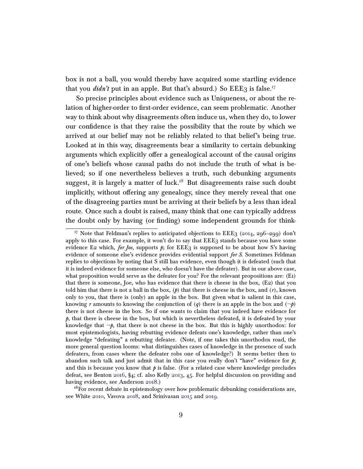box is not a ball, you would thereby have acquired some startling evidence that you *didn't* put in an apple. But that's absurd.) So  $EEE_3$  is false.<sup>[17](#page-8-0)</sup>

So precise principles about evidence such as Uniqueness, or about the relation of higher-order to first-order evidence, can seem problematic. Another way to think about why disagreements often induce us, when they do, to lower our confidence is that they raise the possibility that the route by which we arrived at our belief may not be reliably related to that belief's being true. Looked at in this way, disagreements bear a similarity to certain debunking arguments which explicitly offer a genealogical account of the causal origins of one's beliefs whose causal paths do not include the truth of what is believed; so if one nevertheless believes a truth, such debunking arguments suggest, it is largely a matter of luck.<sup>[18](#page-8-1)</sup> But disagreements raise such doubt implicitly, without offering any genealogy, since they merely reveal that one of the disagreeing parties must be arriving at their beliefs by a less than ideal route. Once such a doubt is raised, many think that one can typically address the doubt only by having (or finding) some independent grounds for think-

<span id="page-8-1"></span> $18$ For recent debate in epistemology over how problematic debunking considerations are, see White [2010,](#page-43-3) Vavova [2018,](#page-43-4) and Srinivasan [2015](#page-42-4) and [2019.](#page-42-5)

<span id="page-8-0"></span><sup>&</sup>lt;sup>17</sup> Note that Feldman's replies to anticipated objections to  $EEE_3$  [\(2014,](#page-37-7) 296–299) don't apply to this case. For example, it won't do to say that EEE3 stands because you have some evidence E2 which, for Joe, supports  $p$ ; for EEE3 is supposed to be about how S's having evidence of someone else's evidence provides evidential support for S. Sometimes Feldman replies to objections by noting that S still has evidence, even though it is defeated (such that it is indeed evidence for someone else, who doesn't have the defeater). But in our above case, what proposition would serve as the defeater for you? For the relevant propositions are: (E1) that there is someone, Joe, who has evidence that there is cheese in the box, (E2) that you told him that there is not a ball in the box,  $(p)$  that there is cheese in the box, and  $(r)$ , known only to you, that there is (only) an apple in the box. But given what is salient in this case, knowing r amounts to knowing the conjunction of (q) there is an apple in the box and  $(\neg p)$ there is not cheese in the box. So if one wants to claim that you indeed have evidence for  $p$ , that there is cheese in the box, but which is nevertheless defeated, it is defeated by your knowledge that  $\neg p$ , that there is not cheese in the box. But this is highly unorthodox: for most epistemologists, having rebutting evidence defeats one's knowledge, rather than one's knowledge "defeating" a rebutting defeater. (Note, if one takes this unorthodox road, the more general question looms: what distinguishes cases of knowledge in the presence of such defeaters, from cases where the defeater robs one of knowledge?) It seems better then to abandon such talk and just admit that in this case you really don't "have" evidence for  $\hat{p}$ ; and this is because you know that  $p$  is false. (For a related case where knowledge precludes defeat, see Benton [2016,](#page-35-2) §4; cf. also Kelly [2013,](#page-39-3) 45. For helpful discussion on providing and having evidence, see Anderson [2018.](#page-34-2))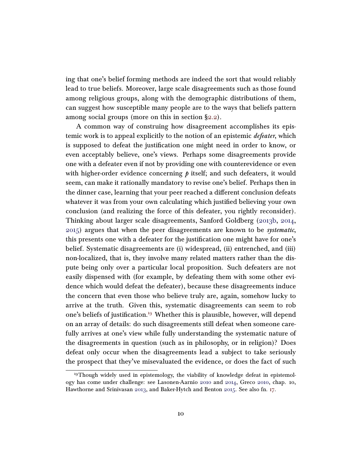ing that one's belief forming methods are indeed the sort that would reliably lead to true beliefs. Moreover, large scale disagreements such as those found among religious groups, along with the demographic distributions of them, can suggest how susceptible many people are to the ways that beliefs pattern among social groups (more on this in section [§2.2\)](#page-19-0).

A common way of construing how disagreement accomplishes its epistemic work is to appeal explicitly to the notion of an epistemic *defeater*, which is supposed to defeat the justification one might need in order to know, or even acceptably believe, one's views. Perhaps some disagreements provide one with a defeater even if not by providing one with counterevidence or even with higher-order evidence concerning  $\phi$  itself; and such defeaters, it would seem, can make it rationally mandatory to revise one's belief. Perhaps then in the dinner case, learning that your peer reached a different conclusion defeats whatever it was from your own calculating which justified believing your own conclusion (and realizing the force of this defeater, you rightly reconsider). Thinking about larger scale disagreements, Sanford Goldberg [\(2013b,](#page-37-9) [2014,](#page-38-3) [2015\)](#page-38-4) argues that when the peer disagreements are known to be systematic, this presents one with a defeater for the justification one might have for one's belief. Systematic disagreements are (i) widespread, (ii) entrenched, and (iii) non-localized, that is, they involve many related matters rather than the dispute being only over a particular local proposition. Such defeaters are not easily dispensed with (for example, by defeating them with some other evidence which would defeat the defeater), because these disagreements induce the concern that even those who believe truly are, again, somehow lucky to arrive at the truth. Given this, systematic disagreements can seem to rob one's beliefs of justification.<sup>[19](#page-9-0)</sup> Whether this is plausible, however, will depend on an array of details: do such disagreements still defeat when someone carefully arrives at one's view while fully understanding the systematic nature of the disagreements in question (such as in philosophy, or in religion)? Does defeat only occur when the disagreements lead a subject to take seriously the prospect that they've misevaluated the evidence, or does the fact of such

<span id="page-9-0"></span><sup>&</sup>lt;sup>19</sup>Though widely used in epistemology, the viability of knowledge defeat in epistemology has come under challenge: see Lasonen-Aarnio [2010](#page-40-4) and [2014,](#page-40-5) Greco [2010,](#page-38-5) chap. 10, Hawthorne and Srinivasan [2013,](#page-38-6) and Baker-Hytch and Benton [2015.](#page-35-3) See also fn. [17.](#page-8-0)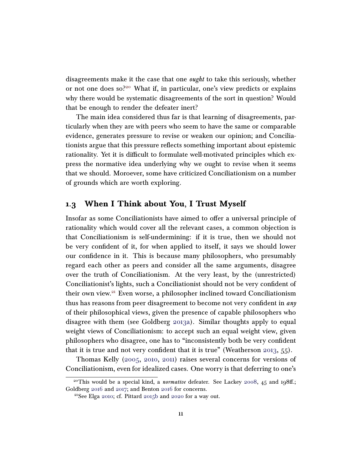disagreements make it the case that one ought to take this seriously, whether or not one does so?[20](#page-10-0) What if, in particular, one's view predicts or explains why there would be systematic disagreements of the sort in question? Would that be enough to render the defeater inert?

The main idea considered thus far is that learning of disagreements, particularly when they are with peers who seem to have the same or comparable evidence, generates pressure to revise or weaken our opinion; and Conciliationists argue that this pressure reflects something important about epistemic rationality. Yet it is difficult to formulate well-motivated principles which express the normative idea underlying why we ought to revise when it seems that we should. Moroever, some have criticized Conciliationism on a number of grounds which are worth exploring.

### 1.3 When I Think about You, I Trust Myself

Insofar as some Conciliationists have aimed to offer a universal principle of rationality which would cover all the relevant cases, a common objection is that Conciliationism is self-undermining: if it is true, then we should not be very confident of it, for when applied to itself, it says we should lower our confidence in it. This is because many philosophers, who presumably regard each other as peers and consider all the same arguments, disagree over the truth of Conciliationism. At the very least, by the (unrestricted) Conciliationist's lights, such a Conciliationist should not be very confident of their own view.[21](#page-10-1) Even worse, a philosopher inclined toward Conciliationism thus has reasons from peer disagreement to become not very confident in any of their philosophical views, given the presence of capable philosophers who disagree with them (see Goldberg [2013a\)](#page-37-10). Similar thoughts apply to equal weight views of Conciliationism: to accept such an equal weight view, given philosophers who disagree, one has to "inconsistently both be very confident that it is true and not very confident that it is true" (Weatherson [2013,](#page-43-5) 55).

Thomas Kelly [\(2005,](#page-39-4) [2010,](#page-39-0) [2011\)](#page-39-5) raises several concerns for versions of Conciliationism, even for idealized cases. One worry is that deferring to one's

<span id="page-10-0"></span><sup>&</sup>lt;sup>20</sup>This would be a special kind, a *normative* defeater. See Lackey [2008,](#page-40-6) 45 and 198ff.; Goldberg [2016](#page-38-7) and [2017;](#page-38-8) and Benton [2016](#page-35-2) for concerns.

<span id="page-10-1"></span><sup>21</sup>See Elga [2010;](#page-37-11) cf. Pittard [2015b](#page-41-3) and [2020](#page-41-4) for a way out.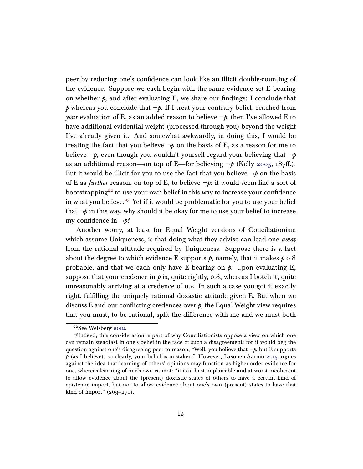peer by reducing one's confidence can look like an illicit double-counting of the evidence. Suppose we each begin with the same evidence set E bearing on whether  $\beta$ , and after evaluating E, we share our findings: I conclude that p whereas you conclude that  $\neg p$ . If I treat your contrary belief, reached from *your* evaluation of E, as an added reason to believe  $\neg p$ , then I've allowed E to have additional evidential weight (processed through you) beyond the weight I've already given it. And somewhat awkwardly, in doing this, I would be treating the fact that you believe  $\neg p$  on the basis of E, as a reason for me to believe  $\neg p$ , even though you wouldn't yourself regard your believing that  $\neg p$ as an additional reason—on top of E—for believing  $\neg p$  (Kelly [2005,](#page-39-4) 187ff.). But it would be illicit for you to use the fact that you believe  $\neg p$  on the basis of E as *further* reason, on top of E, to believe  $\neg p$ : it would seem like a sort of bootstrapping<sup>[22](#page-11-0)</sup> to use your own belief in this way to increase your confidence in what you believe.<sup>[23](#page-11-1)</sup> Yet if it would be problematic for you to use your belief that  $\neg p$  in this way, why should it be okay for me to use your belief to increase my confidence in  $\neg p$ ?

Another worry, at least for Equal Weight versions of Conciliationism which assume Uniqueness, is that doing what they advise can lead one *away* from the rational attitude required by Uniqueness. Suppose there is a fact about the degree to which evidence E supports  $p$ , namely, that it makes  $p \, o.8$ probable, and that we each only have E bearing on  $\beta$ . Upon evaluating E, suppose that your credence in  $\hat{p}$  is, quite rightly, 0.8, whereas I botch it, quite unreasonably arriving at a credence of 0.2. In such a case you got it exactly right, fulfilling the uniquely rational doxastic attitude given E. But when we discuss E and our conflicting credences over  $p$ , the Equal Weight view requires that you must, to be rational, split the difference with me and we must both

<span id="page-11-1"></span><span id="page-11-0"></span><sup>22</sup>See Weisberg [2012.](#page-43-6)

<sup>&</sup>lt;sup>23</sup>Indeed, this consideration is part of why Conciliationists oppose a view on which one can remain steadfast in one's belief in the face of such a disagreement: for it would beg the question against one's disagreeing peer to reason, "Well, you believe that  $\neg p$ , but E supports  $p$  (as I believe), so clearly, your belief is mistaken." However, Lasonen-Aarnio [2015](#page-40-7) argues against the idea that learning of others' opinions may function as higher-order evidence for one, whereas learning of one's own cannot: "it is at best implausible and at worst incoherent to allow evidence about the (present) doxastic states of others to have a certain kind of epistemic import, but not to allow evidence about one's own (present) states to have that kind of import"  $(26g-270)$ .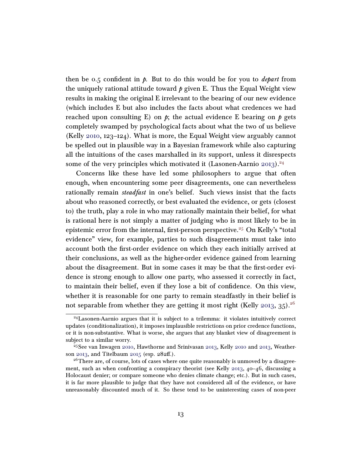then be 0.5 confident in  $\phi$ . But to do this would be for you to *depart* from the uniquely rational attitude toward  $\phi$  given E. Thus the Equal Weight view results in making the original E irrelevant to the bearing of our new evidence (which includes E but also includes the facts about what credences we had reached upon consulting E) on  $p$ ; the actual evidence E bearing on  $p$  gets completely swamped by psychological facts about what the two of us believe (Kelly [2010,](#page-39-0) 123–124). What is more, the Equal Weight view arguably cannot be spelled out in plausible way in a Bayesian framework while also capturing all the intuitions of the cases marshalled in its support, unless it disrespects some of the very principles which motivated it (Lasonen-Aarnio [2013\)](#page-40-8).<sup>[24](#page-12-0)</sup>

Concerns like these have led some philosophers to argue that often enough, when encountering some peer disagreements, one can nevertheless rationally remain *steadfast* in one's belief. Such views insist that the facts about who reasoned correctly, or best evaluated the evidence, or gets (closest to) the truth, play a role in who may rationally maintain their belief, for what is rational here is not simply a matter of judging who is most likely to be in epistemic error from the internal, first-person perspective.<sup>[25](#page-12-1)</sup> On Kelly's "total evidence" view, for example, parties to such disagreements must take into account both the first-order evidence on which they each initially arrived at their conclusions, as well as the higher-order evidence gained from learning about the disagreement. But in some cases it may be that the first-order evidence is strong enough to allow one party, who assessed it correctly in fact, to maintain their belief, even if they lose a bit of confidence. On this view, whether it is reasonable for one party to remain steadfastly in their belief is not separable from whether they are getting it most right (Kelly [2013,](#page-39-3) 35).<sup>[26](#page-12-2)</sup>

<span id="page-12-0"></span><sup>24</sup>Lasonen-Aarnio argues that it is subject to a trilemma: it violates intuitively correct updates (conditionalization), it imposes implausible restrictions on prior credence functions, or it is non-substantive. What is worse, she argues that any blanket view of disagreement is subject to a similar worry.

<span id="page-12-1"></span> $25$ See van Inwagen [2010,](#page-43-7) Hawthorne and Srinivasan [2013,](#page-39-3) Kelly [2010](#page-39-0) and 2013, Weather-son [2013,](#page-43-5) and Titelbaum [2015](#page-43-8) (esp. 282ff.).

<span id="page-12-2"></span><sup>&</sup>lt;sup>26</sup>There are, of course, lots of cases where one quite reasonably is unmoved by a disagree-ment, such as when confronting a conspiracy theorist (see Kelly [2013,](#page-39-3) 40–46, discussing a Holocaust denier; or compare someone who denies climate change; etc.). But in such cases, it is far more plausible to judge that they have not considered all of the evidence, or have unreasonably discounted much of it. So these tend to be uninteresting cases of non-peer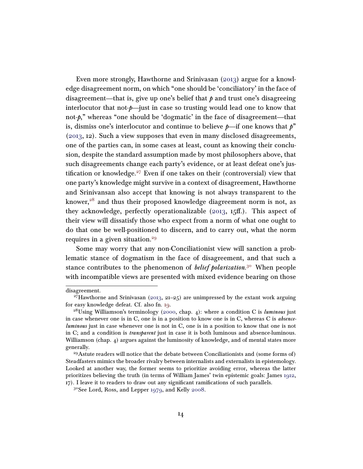Even more strongly, Hawthorne and Srinivasan [\(2013\)](#page-38-6) argue for a knowledge disagreement norm, on which "one should be 'conciliatory' in the face of disagreement—that is, give up one's belief that  $\phi$  and trust one's disagreeing interlocutor that not- $p$ —just in case so trusting would lead one to know that not-p," whereas "one should be 'dogmatic' in the face of disagreement—that is, dismiss one's interlocutor and continue to believe  $p$ —if one knows that  $p$ " [\(2013,](#page-38-6) 12). Such a view supposes that even in many disclosed disagreements, one of the parties can, in some cases at least, count as knowing their conclusion, despite the standard assumption made by most philosophers above, that such disagreements change each party's evidence, or at least defeat one's jus-tification or knowledge.<sup>[27](#page-13-0)</sup> Even if one takes on their (controversial) view that one party's knowledge might survive in a context of disagreement, Hawthorne and Srinivansan also accept that knowing is not always transparent to the knower,<sup>[28](#page-13-1)</sup> and thus their proposed knowledge diagreement norm is not, as they acknowledge, perfectly operationalizable  $(2013, 15ff)$  $(2013, 15ff)$ . This aspect of their view will dissatisfy those who expect from a norm of what one ought to do that one be well-positioned to discern, and to carry out, what the norm requires in a given situation.<sup>[29](#page-13-2)</sup>

Some may worry that any non-Conciliationist view will sanction a problematic stance of dogmatism in the face of disagreement, and that such a stance contributes to the phenomenon of *belief polarization*.<sup>[30](#page-13-3)</sup> When people with incompatible views are presented with mixed evidence bearing on those

disagreement.

<span id="page-13-0"></span><sup>&</sup>lt;sup>27</sup>Hawthorne and Srinivasan [\(2013,](#page-38-6) 21–25) are unimpressed by the extant work arguing for easy knowledge defeat. Cf. also fn. [19.](#page-9-0)

<span id="page-13-1"></span><sup>&</sup>lt;sup>28</sup>Using Williamson's terminology [\(2000,](#page-43-9) chap. 4): where a condition C is luminous just in case whenever one is in  $C$ , one is in a position to know one is in  $C$ , whereas  $C$  is *absence*luminous just in case whenever one is not in C, one is in a position to know that one is not in C; and a condition is transparent just in case it is both luminous and absence-luminous. Williamson (chap. 4) argues against the luminosity of knowledge, and of mental states more generally.

<span id="page-13-2"></span> $^{29}$ Astute readers will notice that the debate between Conciliationists and (some forms of) Steadfasters mimics the broader rivalry between internalists and externalists in epistemology. Looked at another way, the former seems to prioritize avoiding error, whereas the latter prioritizes believing the truth (in terms of William James' twin epistemic goals: James [1912,](#page-39-6) 17). I leave it to readers to draw out any significant ramifications of such parallels.

<span id="page-13-3"></span><sup>30</sup>See Lord, Ross, and Lepper [1979,](#page-40-9) and Kelly [2008.](#page-39-7)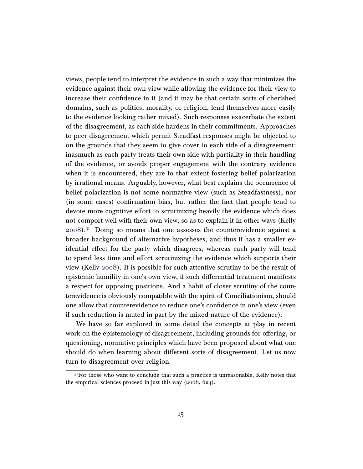views, people tend to interpret the evidence in such a way that minimizes the evidence against their own view while allowing the evidence for their view to increase their confidence in it (and it may be that certain sorts of cherished domains, such as politics, morality, or religion, lend themselves more easily to the evidence looking rather mixed). Such responses exacerbate the extent of the disagreement, as each side hardens in their commitments. Approaches to peer disagreement which permit Steadfast responses might be objected to on the grounds that they seem to give cover to each side of a disagreement: inasmuch as each party treats their own side with partiality in their handling of the evidence, or avoids proper engagement with the contrary evidence when it is encountered, they are to that extent fostering belief polarization by irrational means. Arguably, however, what best explains the occurrence of belief polarization is not some normative view (such as Steadfastness), nor (in some cases) confirmation bias, but rather the fact that people tend to devote more cognitive effort to scrutinizing heavily the evidence which does not comport well with their own view, so as to explain it in other ways (Kelly  $2008$ ).<sup>[31](#page-14-0)</sup> Doing so means that one assesses the counterevidence against a broader background of alternative hypotheses, and thus it has a smaller evidential effect for the party which disagrees; whereas each party will tend to spend less time and effort scrutinizing the evidence which supports their view (Kelly [2008\)](#page-39-7). It is possible for such attentive scrutiny to be the result of epistemic humility in one's own view, if such differential treatment manifests a respect for opposing positions. And a habit of closer scrutiny of the counterevidence is obviously compatible with the spirit of Conciliationism, should one allow that counterevidence to reduce one's confidence in one's view (even if such reduction is muted in part by the mixed nature of the evidence).

We have so far explored in some detail the concepts at play in recent work on the epistemology of disagreement, including grounds for offering, or questioning, normative principles which have been proposed about what one should do when learning about different sorts of disagreement. Let us now turn to disagreement over religion.

<span id="page-14-0"></span> $3<sup>1</sup>$  For those who want to conclude that such a practice is unreasonable, Kelly notes that the empirical sciences proceed in just this way [\(2008,](#page-39-7) 624).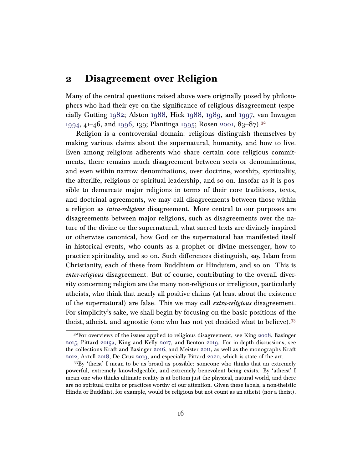### <span id="page-15-0"></span>2 Disagreement over Religion

Many of the central questions raised above were originally posed by philosophers who had their eye on the significance of religious disagreement (especially Gutting [1982;](#page-38-9) Alston [1988,](#page-34-3) Hick [1988,](#page-38-10) [1989,](#page-38-11) and [1997,](#page-38-12) van Inwagen [1994,](#page-43-10) 41–46, and [1996,](#page-43-11) 139; Plantinga [1995;](#page-41-5) Rosen [2001,](#page-42-6) 83–87).[32](#page-15-1)

Religion is a controversial domain: religions distinguish themselves by making various claims about the supernatural, humanity, and how to live. Even among religious adherents who share certain core religious commitments, there remains much disagreement between sects or denominations, and even within narrow denominations, over doctrine, worship, spirituality, the afterlife, religious or spiritual leadership, and so on. Insofar as it is possible to demarcate major religions in terms of their core traditions, texts, and doctrinal agreements, we may call disagreements between those within a religion as intra-religious disagreement. More central to our purposes are disagreements between major religions, such as disagreements over the nature of the divine or the supernatural, what sacred texts are divinely inspired or otherwise canonical, how God or the supernatural has manifested itself in historical events, who counts as a prophet or divine messenger, how to practice spirituality, and so on. Such differences distinguish, say, Islam from Christianity, each of these from Buddhism or Hinduism, and so on. This is inter-religious disagreement. But of course, contributing to the overall diversity concerning religion are the many non-religious or irreligious, particularly atheists, who think that nearly all positive claims (at least about the existence of the supernatural) are false. This we may call extra-religious disagreement. For simplicity's sake, we shall begin by focusing on the basic positions of the theist, atheist, and agnostic (one who has not yet decided what to believe).[33](#page-15-2)

<span id="page-15-1"></span> $3<sup>32</sup>$  For overviews of the issues applied to religious disagreement, see King [2008,](#page-39-8) Basinger [2015,](#page-35-4) Pittard [2015a,](#page-41-6) King and Kelly [2017,](#page-39-9) and Benton [2019.](#page-35-1) For in-depth discussions, see the collections Kraft and Basinger [2016,](#page-40-10) and Meister [2011,](#page-41-7) as well as the monographs Kraft [2012,](#page-39-10) Axtell [2018,](#page-35-5) De Cruz [2019,](#page-36-7) and especially Pittard [2020,](#page-41-4) which is state of the art.

<span id="page-15-2"></span><sup>33</sup>By 'theist' I mean to be as broad as possible: someone who thinks that an extremely powerful, extremely knowledgeable, and extremely benevolent being exists. By 'atheist' I mean one who thinks ultimate reality is at bottom just the physical, natural world, and there are no spiritual truths or practices worthy of our attention. Given these labels, a non-theistic Hindu or Buddhist, for example, would be religious but not count as an atheist (nor a theist).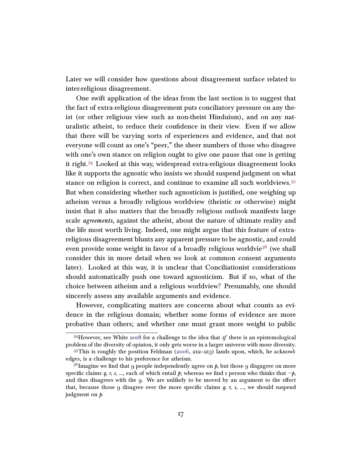Later we will consider how questions about disagreement surface related to inter-religious disagreement.

One swift application of the ideas from the last section is to suggest that the fact of extra-religious disagreement puts conciliatory pressure on any theist (or other religious view such as non-theist Hinduism), and on any naturalistic atheist, to reduce their confidence in their view. Even if we allow that there will be varying sorts of experiences and evidence, and that not everyone will count as one's "peer," the sheer numbers of those who disagree with one's own stance on religion ought to give one pause that one is getting it right.[34](#page-16-0) Looked at this way, widespread extra-religious disagreement looks like it supports the agnostic who insists we should suspend judgment on what stance on religion is correct, and continue to examine all such worldviews.[35](#page-16-1) But when considering whether such agnosticism is justified, one weighing up atheism versus a broadly religious worldview (theistic or otherwise) might insist that it also matters that the broadly religious outlook manifests large scale *agreements*, against the atheist, about the nature of ultimate reality and the life most worth living. Indeed, one might argue that this feature of extrareligious disagreement blunts any apparent pressure to be agnostic, and could even provide some weight in favor of a broadly religious worldvie<sup>[36](#page-16-2)</sup> (we shall consider this in more detail when we look at common consent arguments later). Looked at this way, it is unclear that Conciliationist considerations should automatically push one toward agnosticism. But if so, what of the choice between atheism and a religious worldview? Presumably, one should sincerely assess any available arguments and evidence.

However, complicating matters are concerns about what counts as evidence in the religious domain; whether some forms of evidence are more probative than others; and whether one must grant more weight to public

<span id="page-16-0"></span> $34$ However, see White [2018](#page-43-12) for a challenge to the idea that if there is an epistemological problem of the diversity of opinion, it only gets worse in a larger universe with more diversity.

<span id="page-16-1"></span><sup>35</sup>This is roughly the position Feldman [\(2006,](#page-37-4) 212–213) lands upon, which, he acknowledges, is a challenge to his preference for atheism.

<span id="page-16-2"></span><sup>&</sup>lt;sup>36</sup>Imagine we find that 9 people independently agree on  $\beta$ , but those 9 disgagree on more specific claims q, r, s, ..., each of which entail  $p$ ; whereas we find 1 person who thinks that  $\neg p$ , and thus disagrees with the 9. We are unlikely to be moved by an argument to the effect that, because those 9 disagree over the more specific claims  $q, r, s, \dots$ , we should suspend judgment on *.*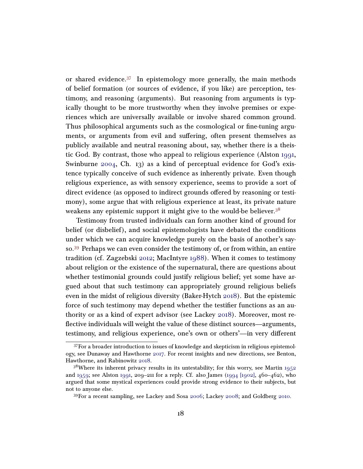or shared evidence. $37$  In epistemology more generally, the main methods of belief formation (or sources of evidence, if you like) are perception, testimony, and reasoning (arguments). But reasoning from arguments is typically thought to be more trustworthy when they involve premises or experiences which are universally available or involve shared common ground. Thus philosophical arguments such as the cosmological or fine-tuning arguments, or arguments from evil and suffering, often present themselves as publicly available and neutral reasoning about, say, whether there is a theistic God. By contrast, those who appeal to religious experience (Alston [1991,](#page-34-4) Swinburne [2004,](#page-42-7) Ch. 13) as a kind of perceptual evidence for God's existence typically conceive of such evidence as inherently private. Even though religious experience, as with sensory experience, seems to provide a sort of direct evidence (as opposed to indirect grounds offered by reasoning or testimony), some argue that with religious experience at least, its private nature weakens any epistemic support it might give to the would-be believer.<sup>[38](#page-17-1)</sup>

Testimony from trusted individuals can form another kind of ground for belief (or disbelief), and social epistemologists have debated the conditions under which we can acquire knowledge purely on the basis of another's sayso.[39](#page-17-2) Perhaps we can even consider the testimony of, or from within, an entire tradition (cf. Zagzebski [2012;](#page-43-13) MacIntyre [1988\)](#page-40-11). When it comes to testimony about religion or the existence of the supernatural, there are questions about whether testimonial grounds could justify religious belief; yet some have argued about that such testimony can appropriately ground religious beliefs even in the midst of religious diversity (Baker-Hytch [2018\)](#page-35-6). But the epistemic force of such testimony may depend whether the testifier functions as an authority or as a kind of expert advisor (see Lackey [2018\)](#page-40-12). Moreover, most reflective individuals will weight the value of these distinct sources—arguments, testimony, and religious experience, one's own or others'—in very different

<span id="page-17-0"></span> $37$  For a broader introduction to issues of knowledge and skepticism in religious epistemology, see Dunaway and Hawthorne [2017.](#page-37-12) For recent insights and new directions, see Benton, Hawthorne, and Rabinowitz [2018.](#page-35-7)

<span id="page-17-1"></span> $38$ Where its inherent privacy results in its untestability; for this worry, see Martin [1952](#page-41-8) and [1959;](#page-41-9) see Alston [1991,](#page-34-4) 209–211 for a reply. Cf. also James [\(1994 \[1902\],](#page-39-11)  $460-462$ ), who argued that some mystical experiences could provide strong evidence to their subjects, but not to anyone else.

<span id="page-17-2"></span><sup>39</sup>For a recent sampling, see Lackey and Sosa [2006;](#page-40-13) Lackey [2008;](#page-40-6) and Goldberg [2010.](#page-37-13)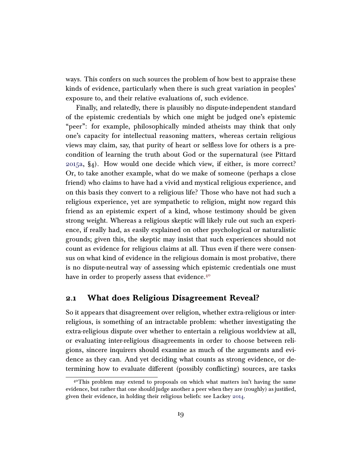ways. This confers on such sources the problem of how best to appraise these kinds of evidence, particularly when there is such great variation in peoples' exposure to, and their relative evaluations of, such evidence.

Finally, and relatedly, there is plausibly no dispute-independent standard of the epistemic credentials by which one might be judged one's epistemic "peer": for example, philosophically minded atheists may think that only one's capacity for intellectual reasoning matters, whereas certain religious views may claim, say, that purity of heart or selfless love for others is a precondition of learning the truth about God or the supernatural (see Pittard [2015a,](#page-41-6) §4). How would one decide which view, if either, is more correct? Or, to take another example, what do we make of someone (perhaps a close friend) who claims to have had a vivid and mystical religious experience, and on this basis they convert to a religious life? Those who have not had such a religious experience, yet are sympathetic to religion, might now regard this friend as an epistemic expert of a kind, whose testimony should be given strong weight. Whereas a religious skeptic will likely rule out such an experience, if really had, as easily explained on other psychological or naturalistic grounds; given this, the skeptic may insist that such experiences should not count as evidence for religious claims at all. Thus even if there were consensus on what kind of evidence in the religious domain is most probative, there is no dispute-neutral way of assessing which epistemic credentials one must have in order to properly assess that evidence.<sup>[40](#page-18-0)</sup>

### 2.1 What does Religious Disagreement Reveal?

So it appears that disagreement over religion, whether extra-religious or interreligious, is something of an intractable problem: whether investigating the extra-religious dispute over whether to entertain a religious worldview at all, or evaluating inter-religious disagreements in order to choose between religions, sincere inquirers should examine as much of the arguments and evidence as they can. And yet deciding what counts as strong evidence, or determining how to evaluate different (possibly conflicting) sources, are tasks

<span id="page-18-0"></span> $4^{\circ}$ This problem may extend to proposals on which what matters isn't having the same evidence, but rather that one should judge another a peer when they are (roughly) as justified, given their evidence, in holding their religious beliefs: see Lackey [2014.](#page-40-14)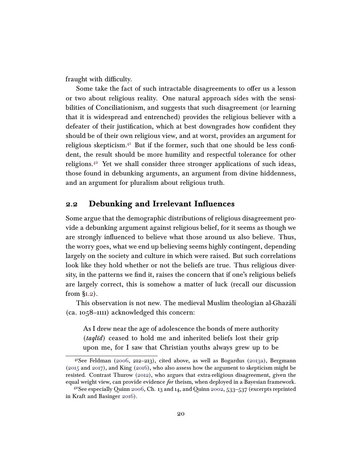fraught with difficulty.

Some take the fact of such intractable disagreements to offer us a lesson or two about religious reality. One natural approach sides with the sensibilities of Conciliationism, and suggests that such disagreement (or learning that it is widespread and entrenched) provides the religious believer with a defeater of their justification, which at best downgrades how confident they should be of their own religious view, and at worst, provides an argument for religious skepticism. $4<sup>1</sup>$  But if the former, such that one should be less confident, the result should be more humility and respectful tolerance for other religions.[42](#page-19-2) Yet we shall consider three stronger applications of such ideas, those found in debunking arguments, an argument from divine hiddenness, and an argument for pluralism about religious truth.

### <span id="page-19-0"></span>2.2 Debunking and Irrelevant Influences

Some argue that the demographic distributions of religious disagreement provide a debunking argument against religious belief, for it seems as though we are strongly influenced to believe what those around us also believe. Thus, the worry goes, what we end up believing seems highly contingent, depending largely on the society and culture in which were raised. But such correlations look like they hold whether or not the beliefs are true. Thus religious diversity, in the patterns we find it, raises the concern that if one's religious beliefs are largely correct, this is somehow a matter of luck (recall our discussion from [§1.2\)](#page-6-2).

This observation is not new. The medieval Muslim theologian al-Ghazal<del>i</del> (ca. 1058–1111) acknowledged this concern:

As I drew near the age of adolescence the bonds of mere authority  $(taql\bar{u}d)$  ceased to hold me and inherited beliefs lost their grip upon me, for I saw that Christian youths always grew up to be

<span id="page-19-1"></span><sup>&</sup>lt;sup>41</sup>See Feldman [\(2006,](#page-37-4) 212–213), cited above, as well as Bogardus [\(2013a\)](#page-35-8), Bergmann [\(2015](#page-35-9) and [2017\)](#page-35-10), and King [\(2016\)](#page-39-12), who also assess how the argument to skepticism might be resisted. Contrast Thurow [\(2012\)](#page-42-8), who argues that extra-religious disagreement, given the equal weight view, can provide evidence for theism, when deployed in a Bayesian framework.

<span id="page-19-2"></span><sup>&</sup>lt;sup>42</sup>See especially Quinn [2006,](#page-42-9) Ch. 13 and 14, and Quinn [2002,](#page-42-10) 533–537 (excerpts reprinted in Kraft and Basinger [2016\)](#page-40-10).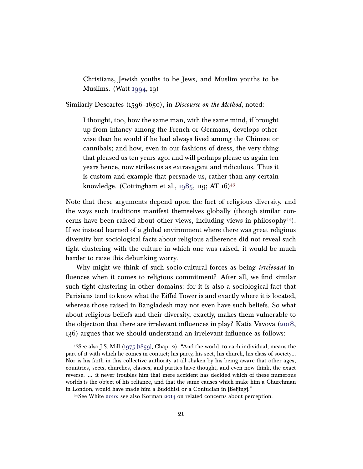Christians, Jewish youths to be Jews, and Muslim youths to be Muslims. (Watt [1994,](#page-43-14) 19)

Similarly Descartes (1596–1650), in *Discourse on the Method*, noted:

I thought, too, how the same man, with the same mind, if brought up from infancy among the French or Germans, develops otherwise than he would if he had always lived among the Chinese or cannibals; and how, even in our fashions of dress, the very thing that pleased us ten years ago, and will perhaps please us again ten years hence, now strikes us as extravagant and ridiculous. Thus it is custom and example that persuade us, rather than any certain knowledge. (Cottingham et al.,  $1985$ ,  $119$ ; AT  $16$ )<sup>[43](#page-20-0)</sup>

Note that these arguments depend upon the fact of religious diversity, and the ways such traditions manifest themselves globally (though similar concerns have been raised about other views, including views in philosophy $44$ ). If we instead learned of a global environment where there was great religious diversity but sociological facts about religious adherence did not reveal such tight clustering with the culture in which one was raised, it would be much harder to raise this debunking worry.

Why might we think of such socio-cultural forces as being *irrelevant* influences when it comes to religious commitment? After all, we find similar such tight clustering in other domains: for it is also a sociological fact that Parisians tend to know what the Eiffel Tower is and exactly where it is located, whereas those raised in Bangladesh may not even have such beliefs. So what about religious beliefs and their diversity, exactly, makes them vulnerable to the objection that there are irrelevant influences in play? Katia Vavova [\(2018,](#page-43-4) 136) argues that we should understand an irrelevant influence as follows:

<span id="page-20-0"></span><sup>&</sup>lt;sup>43</sup>See also J.S. Mill  $(1975 \ 1859)$ , Chap. 2): "And the world, to each individual, means the part of it with which he comes in contact; his party, his sect, his church, his class of society... Nor is his faith in this collective authority at all shaken by his being aware that other ages, countries, sects, churches, classes, and parties have thought, and even now think, the exact reverse. ... it never troubles him that mere accident has decided which of these numerous worlds is the object of his reliance, and that the same causes which make him a Churchman in London, would have made him a Buddhist or a Confucian in [Beijing]."

<span id="page-20-1"></span><sup>44</sup>See White [2010;](#page-43-3) see also Korman [2014](#page-39-13) on related concerns about perception.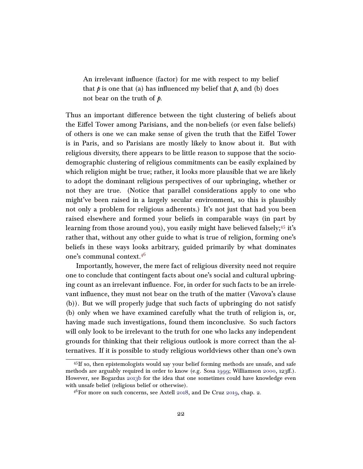An irrelevant influence (factor) for me with respect to my belief that  $\phi$  is one that (a) has influenced my belief that  $\phi$ , and (b) does not bear on the truth of  $\mathfrak{p}$ .

Thus an important difference between the tight clustering of beliefs about the Eiffel Tower among Parisians, and the non-beliefs (or even false beliefs) of others is one we can make sense of given the truth that the Eiffel Tower is in Paris, and so Parisians are mostly likely to know about it. But with religious diversity, there appears to be little reason to suppose that the sociodemographic clustering of religious commitments can be easily explained by which religion might be true; rather, it looks more plausible that we are likely to adopt the dominant religious perspectives of our upbringing, whether or not they are true. (Notice that parallel considerations apply to one who might've been raised in a largely secular environment, so this is plausibly not only a problem for religious adherents.) It's not just that had you been raised elsewhere and formed your beliefs in comparable ways (in part by learning from those around you), you easily might have believed falsely;<sup>[45](#page-21-0)</sup> it's rather that, without any other guide to what is true of religion, forming one's beliefs in these ways looks arbitrary, guided primarily by what dominates one's communal context.[46](#page-21-1)

Importantly, however, the mere fact of religious diversity need not require one to conclude that contingent facts about one's social and cultural upbringing count as an irrelevant influence. For, in order for such facts to be an irrelevant influence, they must not bear on the truth of the matter (Vavova's clause (b)). But we will properly judge that such facts of upbringing do not satisfy (b) only when we have examined carefully what the truth of religion is, or, having made such investigations, found them inconclusive. So such factors will only look to be irrelevant to the truth for one who lacks any independent grounds for thinking that their religious outlook is more correct than the alternatives. If it is possible to study religious worldviews other than one's own

<span id="page-21-0"></span><sup>45</sup>If so, then epistemologists would say your belief forming methods are unsafe, and safe methods are arguably required in order to know (e.g. Sosa [1999;](#page-42-11) Williamson [2000,](#page-43-9) 123ff.). However, see Bogardus [2013b](#page-35-11) for the idea that one sometimes could have knowledge even with unsafe belief (religious belief or otherwise).

<span id="page-21-1"></span> $46$ For more on such concerns, see Axtell [2018,](#page-35-5) and De Cruz [2019,](#page-36-7) chap. 2.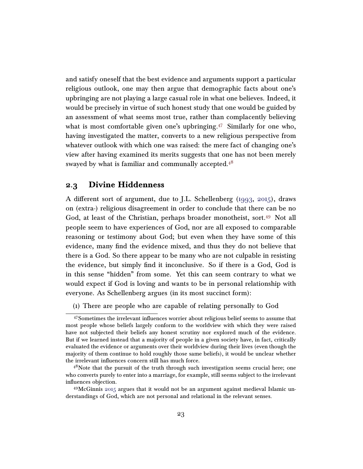and satisfy oneself that the best evidence and arguments support a particular religious outlook, one may then argue that demographic facts about one's upbringing are not playing a large casual role in what one believes. Indeed, it would be precisely in virtue of such honest study that one would be guided by an assessment of what seems most true, rather than complacently believing what is most comfortable given one's upbringing.<sup>[47](#page-22-0)</sup> Similarly for one who, having investigated the matter, converts to a new religious perspective from whatever outlook with which one was raised: the mere fact of changing one's view after having examined its merits suggests that one has not been merely swayed by what is familiar and communally accepted. $4^8$ 

### 2.3 Divine Hiddenness

A different sort of argument, due to J.L. Schellenberg [\(1993,](#page-42-12) [2015\)](#page-42-13), draws on (extra-) religious disagreement in order to conclude that there can be no God, at least of the Christian, perhaps broader monotheist, sort.<sup>[49](#page-22-2)</sup> Not all people seem to have experiences of God, nor are all exposed to comparable reasoning or testimony about God; but even when they have some of this evidence, many find the evidence mixed, and thus they do not believe that there is a God. So there appear to be many who are not culpable in resisting the evidence, but simply find it inconclusive. So if there is a God, God is in this sense "hidden" from some. Yet this can seem contrary to what we would expect if God is loving and wants to be in personal relationship with everyone. As Schellenberg argues (in its most succinct form):

<span id="page-22-0"></span>(1) There are people who are capable of relating personally to God

<sup>47</sup>Sometimes the irrelevant influences worrier about religious belief seems to assume that most people whose beliefs largely conform to the worldview with which they were raised have not subjected their beliefs any honest scrutiny nor explored much of the evidence. But if we learned instead that a majority of people in a given society have, in fact, critically evaluated the evidence or arguments over their worldview during their lives (even though the majority of them continue to hold roughly those same beliefs), it would be unclear whether the irrelevant influences concern still has much force.

<span id="page-22-1"></span><sup>&</sup>lt;sup>48</sup>Note that the pursuit of the truth through such investigation seems crucial here; one who converts purely to enter into a marriage, for example, still seems subject to the irrelevant influences objection.

<span id="page-22-2"></span><sup>49</sup>McGinnis [2015](#page-41-11) argues that it would not be an argument against medieval Islamic understandings of God, which are not personal and relational in the relevant senses.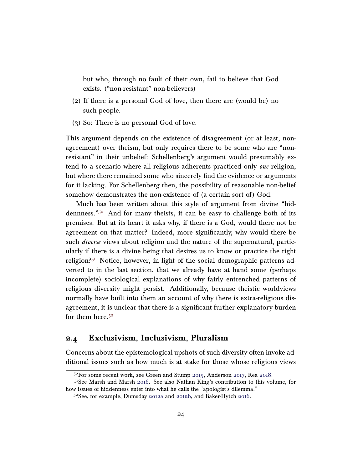but who, through no fault of their own, fail to believe that God exists. ("non-resistant" non-believers)

- (2) If there is a personal God of love, then there are (would be) no such people.
- (3) So: There is no personal God of love.

This argument depends on the existence of disagreement (or at least, nonagreement) over theism, but only requires there to be some who are "nonresistant" in their unbelief: Schellenberg's argument would presumably extend to a scenario where all religious adherents practiced only one religion, but where there remained some who sincerely find the evidence or arguments for it lacking. For Schellenberg then, the possibility of reasonable non-belief somehow demonstrates the non-existence of (a certain sort of) God.

Much has been written about this style of argument from divine "hiddennness."[50](#page-23-0) And for many theists, it can be easy to challenge both of its premises. But at its heart it asks why, if there is a God, would there not be agreement on that matter? Indeed, more significantly, why would there be such *diverse* views about religion and the nature of the supernatural, particularly if there is a divine being that desires us to know or practice the right religion? $51$  Notice, however, in light of the social demographic patterns adverted to in the last section, that we already have at hand some (perhaps incomplete) sociological explanations of why fairly entrenched patterns of religious diversity might persist. Additionally, because theistic worldviews normally have built into them an account of why there is extra-religious disagreement, it is unclear that there is a significant further explanatory burden for them here. $5<sup>2</sup>$ 

### 2.4 Exclusivism, Inclusivism, Pluralism

Concerns about the epistemological upshots of such diversity often invoke additional issues such as how much is at stake for those whose religious views

<span id="page-23-1"></span><span id="page-23-0"></span><sup>50</sup>For some recent work, see Green and Stump [2015,](#page-38-13) Anderson [2017,](#page-34-5) Rea [2018.](#page-42-14)

<sup>51</sup>See Marsh and Marsh [2016.](#page-41-12) See also Nathan King's contribution to this volume, for how issues of hiddenness enter into what he calls the "apologist's dilemma."

<span id="page-23-2"></span><sup>52</sup>See, for example, Dumsday [2012a](#page-36-9) and [2012b,](#page-36-10) and Baker-Hytch [2016.](#page-35-12)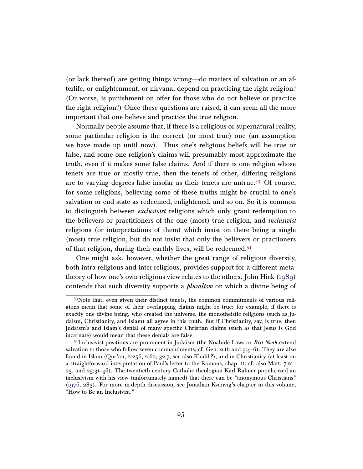(or lack thereof) are getting things wrong—do matters of salvation or an afterlife, or enlightenment, or nirvana, depend on practicing the right religion? (Or worse, is punishment on offer for those who do not believe or practice the right religion?) Once these questions are raised, it can seem all the more important that one believe and practice the true religion.

Normally people assume that, if there is a religious or supernatural reality, some particular religion is the correct (or most true) one (an assumption we have made up until now). Thus one's religious beliefs will be true or false, and some one religion's claims will presumably most approximate the truth, even if it makes some false claims. And if there is one religion whose tenets are true or mostly true, then the tenets of other, differing religions are to varying degrees false insofar as their tenets are untrue.[53](#page-24-0) Of course, for some religions, believing some of these truths might be crucial to one's salvation or end state as redeemed, enlightened, and so on. So it is common to distinguish between *exclusivist* religions which only grant redemption to the believers or practitioners of the one (most) true religion, and *inclusivist* religions (or interpretations of them) which insist on there being a single (most) true religion, but do not insist that only the believers or practioners of that religion, during their earthly lives, will be redeemed.[54](#page-24-1)

One might ask, however, whether the great range of religious diversity, both intra-religious and inter-religious, provides support for a different metatheory of how one's own religious view relates to the others. John Hick [\(1989\)](#page-38-11) contends that such diversity supports a pluralism on which a divine being of

<span id="page-24-0"></span><sup>53</sup>Note that, even given their distinct tenets, the common commitments of various religions mean that some of their overlapping claims might be true: for example, if there is exactly one divine being, who created the universe, the monotheistic religions (such as Judaism, Christianity, and Islam) all agree in this truth. But if Christianity, say, is true, then Judaism's and Islam's denial of many specific Christian claims (such as that Jesus is God incarnate) would mean that these denials are false.

<span id="page-24-1"></span><sup>&</sup>lt;sup>54</sup>Inclusivist positions are prominent in Judaism (the Noahide Laws or *Brit Noah* extend salvation to those who follow seven commandments; cf. Gen. 2:16 and  $9:4-6$ ). They are also found in Islam (Qur'an, 2:256; 2:62; 32:7; see also Khalil ?); and in Christianity (at least on a straightforward interpretation of Paul's letter to the Romans, chap. 11; cf. also Matt. 7:21– 23, and 25:31–46). The twentieth century Catholic theologian Karl Rahner popularized an inclusivism with his view (unfortunately named) that there can be "anonymous Christians" [\(1976,](#page-42-15) 283). For more in-depth discussion, see Jonathan Kvanvig's chapter in this volume, "How to Be an Inclusivist."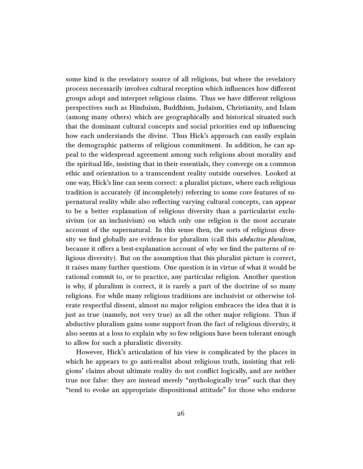some kind is the revelatory source of all religions, but where the revelatory process necessarily involves cultural reception which influences how different groups adopt and interpret religious claims. Thus we have different religious perspectives such as Hinduism, Buddhism, Judaism, Christianity, and Islam (among many others) which are geographically and historical situated such that the dominant cultural concepts and social priorities end up influencing how each understands the divine. Thus Hick's approach can easily explain the demographic patterns of religious commitment. In addition, he can appeal to the widespread agreement among such religions about morality and the spiritual life, insisting that in their essentials, they converge on a common ethic and orientation to a transcendent reality outside ourselves. Looked at one way, Hick's line can seem correct: a pluralist picture, where each religious tradition is accurately (if incompletely) referring to some core features of supernatural reality while also reflecting varying cultural concepts, can appear to be a better explanation of religious diversity than a particularist exclusivism (or an inclusivism) on which only one religion is the most accurate account of the supernatural. In this sense then, the sorts of religious diversity we find globally are evidence for pluralism (call this *abductive pluralism*, because it offers a best-explanation account of why we find the patterns of religious diversity). But on the assumption that this pluralist picture is correct, it raises many further questions. One question is in virtue of what it would be rational commit to, or to practice, any particular religion. Another question is why, if pluralism is correct, it is rarely a part of the doctrine of so many religions. For while many religious traditions are inclusivist or otherwise tolerate respectful dissent, almost no major religion embraces the idea that it is just as true (namely, not very true) as all the other major religions. Thus if abductive pluralism gains some support from the fact of religious diversity, it also seems at a loss to explain why so few religions have been tolerant enough to allow for such a pluralistic diversity.

However, Hick's articulation of his view is complicated by the places in which he appears to go anti-realist about religious truth, insisting that religions' claims about ultimate reality do not conflict logically, and are neither true nor false: they are instead merely "mythologically true" such that they "tend to evoke an appropriate dispositional attitude" for those who endorse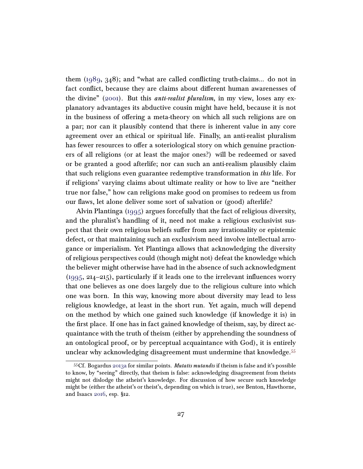them [\(1989,](#page-38-11) 348); and "what are called conflicting truth-claims... do not in fact conflict, because they are claims about different human awarenesses of the divine" [\(2001\)](#page-38-14). But this *anti-realist pluralism*, in my view, loses any explanatory advantages its abductive cousin might have held, because it is not in the business of offering a meta-theory on which all such religions are on a par; nor can it plausibly contend that there is inherent value in any core agreement over an ethical or spiritual life. Finally, an anti-realist pluralism has fewer resources to offer a soteriological story on which genuine practioners of all religions (or at least the major ones?) will be redeemed or saved or be granted a good afterlife; nor can such an anti-realism plausibly claim that such religions even guarantee redemptive transformation in this life. For if religions' varying claims about ultimate reality or how to live are "neither true nor false," how can religions make good on promises to redeem us from our flaws, let alone deliver some sort of salvation or (good) afterlife?

Alvin Plantinga [\(1995\)](#page-41-5) argues forcefully that the fact of religious diversity, and the pluralist's handling of it, need not make a religious exclusivist suspect that their own religious beliefs suffer from any irrationality or epistemic defect, or that maintaining such an exclusivism need involve intellectual arrogance or imperialism. Yet Plantinga allows that acknowledging the diversity of religious perspectives could (though might not) defeat the knowledge which the believer might otherwise have had in the absence of such acknowledgment [\(1995,](#page-41-5) 214–215), particularly if it leads one to the irrelevant influences worry that one believes as one does largely due to the religious culture into which one was born. In this way, knowing more about diversity may lead to less religious knowledge, at least in the short run. Yet again, much will depend on the method by which one gained such knowledge (if knowledge it is) in the first place. If one has in fact gained knowledge of theism, say, by direct acquaintance with the truth of theism (either by apprehending the soundness of an ontological proof, or by perceptual acquaintance with God), it is entirely unclear why acknowledging disagreement must undermine that knowledge.<sup>[55](#page-26-0)</sup>

<span id="page-26-0"></span> $55Cf$ . Bogardus [2013a](#page-35-8) for similar points. *Mutatis mutandis* if theism is false and it's possible to know, by "seeing" directly, that theism is false: acknowledging disagreement from theists might not dislodge the atheist's knowledge. For discussion of how secure such knowledge might be (either the atheist's or theist's, depending on which is true), see Benton, Hawthorne, and Isaacs [2016,](#page-35-13) esp. §12.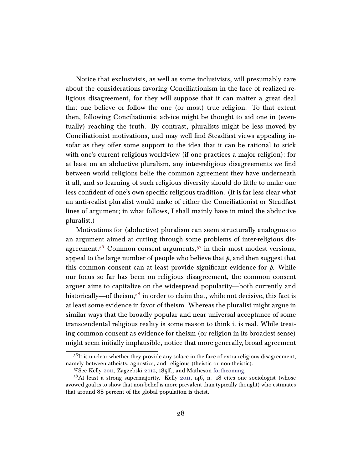Notice that exclusivists, as well as some inclusivists, will presumably care about the considerations favoring Conciliationism in the face of realized religious disagreement, for they will suppose that it can matter a great deal that one believe or follow the one (or most) true religion. To that extent then, following Conciliationist advice might be thought to aid one in (eventually) reaching the truth. By contrast, pluralists might be less moved by Conciliationist motivations, and may well find Steadfast views appealing insofar as they offer some support to the idea that it can be rational to stick with one's current religious worldview (if one practices a major religion): for at least on an abductive pluralism, any inter-religious disagreements we find between world religions belie the common agreement they have underneath it all, and so learning of such religious diversity should do little to make one less confident of one's own specific religious tradition. (It is far less clear what an anti-realist pluralist would make of either the Conciliationist or Steadfast lines of argument; in what follows, I shall mainly have in mind the abductive pluralist.)

Motivations for (abductive) pluralism can seem structurally analogous to an argument aimed at cutting through some problems of inter-religious dis-agreement.<sup>[56](#page-27-0)</sup> Common consent arguments,<sup>[57](#page-27-1)</sup> in their most modest versions, appeal to the large number of people who believe that  $\beta$ , and then suggest that this common consent can at least provide significant evidence for  $p$ . While our focus so far has been on religious disagreement, the common consent arguer aims to capitalize on the widespread popularity—both currently and historically—of theism,<sup>[58](#page-27-2)</sup> in order to claim that, while not decisive, this fact is at least some evidence in favor of theism. Whereas the pluralist might argue in similar ways that the broadly popular and near universal acceptance of some transcendental religious reality is some reason to think it is real. While treating common consent as evidence for theism (or religion in its broadest sense) might seem initially implausible, notice that more generally, broad agreement

<span id="page-27-0"></span> $5<sup>6</sup>$ It is unclear whether they provide any solace in the face of extra-religious disagreement, namely between atheists, agnostics, and religious (theistic or non-theistic).

<span id="page-27-2"></span><span id="page-27-1"></span><sup>57</sup>See Kelly [2011,](#page-39-5) Zagzebski [2012,](#page-43-13) 185ff., and Matheson [forthcoming.](#page-41-13)

 $5<sup>8</sup>$ At least a strong supermajority. Kelly [2011,](#page-39-5) 146, n. 18 cites one sociologist (whose avowed goal is to show that non-belief is more prevalent than typically thought) who estimates that around 88 percent of the global population is theist.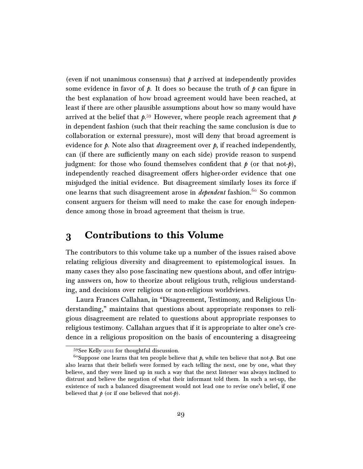(even if not unanimous consensus) that  $\beta$  arrived at independently provides some evidence in favor of  $\beta$ . It does so because the truth of  $\beta$  can figure in the best explanation of how broad agreement would have been reached, at least if there are other plausible assumptions about how so many would have arrived at the belief that  $\rho^{59}$  $\rho^{59}$  $\rho^{59}$  However, where people reach agreement that  $\rho$ in dependent fashion (such that their reaching the same conclusion is due to collaboration or external pressure), most will deny that broad agreement is evidence for  $p$ . Note also that *disagreement* over  $p$ , if reached independently, can (if there are sufficiently many on each side) provide reason to suspend judgment: for those who found themselves confident that  $p$  (or that not- $p$ ), independently reached disagreement offers higher-order evidence that one misjudged the initial evidence. But disagreement similarly loses its force if one learns that such disagreement arose in *dependent* fashion.<sup>[60](#page-28-2)</sup> So common consent arguers for theism will need to make the case for enough independence among those in broad agreement that theism is true.

# <span id="page-28-0"></span>3 Contributions to this Volume

The contributors to this volume take up a number of the issues raised above relating religious diversity and disagreement to epistemological issues. In many cases they also pose fascinating new questions about, and offer intriguing answers on, how to theorize about religious truth, religious understanding, and decisions over religious or non-religious worldviews.

Laura Frances Callahan, in "Disagreement, Testimony, and Religious Understanding," maintains that questions about appropriate responses to religious disagreement are related to questions about appropriate responses to religious testimony. Callahan argues that if it is appropriate to alter one's credence in a religious proposition on the basis of encountering a disagreeing

<span id="page-28-2"></span><span id="page-28-1"></span><sup>59</sup>See Kelly [2011](#page-39-5) for thoughtful discussion.

<sup>&</sup>lt;sup>60</sup>Suppose one learns that ten people believe that  $p$ , while ten believe that not- $p$ . But one also learns that their beliefs were formed by each telling the next, one by one, what they believe, and they were lined up in such a way that the next listener was always inclined to distrust and believe the negation of what their informant told them. In such a set-up, the existence of such a balanced disagreement would not lead one to revise one's belief, if one believed that  $p$  (or if one believed that not- $p$ ).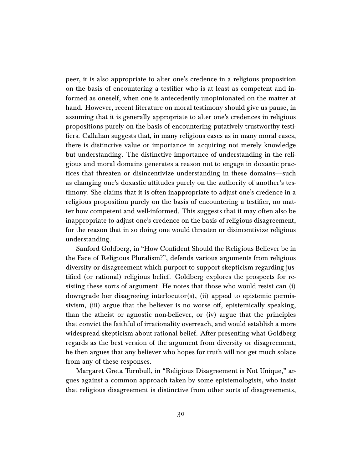peer, it is also appropriate to alter one's credence in a religious proposition on the basis of encountering a testifier who is at least as competent and informed as oneself, when one is antecedently unopinionated on the matter at hand. However, recent literature on moral testimony should give us pause, in assuming that it is generally appropriate to alter one's credences in religious propositions purely on the basis of encountering putatively trustworthy testifiers. Callahan suggests that, in many religious cases as in many moral cases, there is distinctive value or importance in acquiring not merely knowledge but understanding. The distinctive importance of understanding in the religious and moral domains generates a reason not to engage in doxastic practices that threaten or disincentivize understanding in these domains—such as changing one's doxastic attitudes purely on the authority of another's testimony. She claims that it is often inappropriate to adjust one's credence in a religious proposition purely on the basis of encountering a testifier, no matter how competent and well-informed. This suggests that it may often also be inappropriate to adjust one's credence on the basis of religious disagreement, for the reason that in so doing one would threaten or disincentivize religious understanding.

Sanford Goldberg, in "How Confident Should the Religious Believer be in the Face of Religious Pluralism?", defends various arguments from religious diversity or disagreement which purport to support skepticism regarding justified (or rational) religious belief. Goldberg explores the prospects for resisting these sorts of argument. He notes that those who would resist can (i) downgrade her disagreeing interlocutor(s), (ii) appeal to epistemic permissivism, (iii) argue that the believer is no worse off, epistemically speaking, than the atheist or agnostic non-believer, or (iv) argue that the principles that convict the faithful of irrationality overreach, and would establish a more widespread skepticism about rational belief. After presenting what Goldberg regards as the best version of the argument from diversity or disagreement, he then argues that any believer who hopes for truth will not get much solace from any of these responses.

Margaret Greta Turnbull, in "Religious Disagreement is Not Unique," argues against a common approach taken by some epistemologists, who insist that religious disagreement is distinctive from other sorts of disagreements,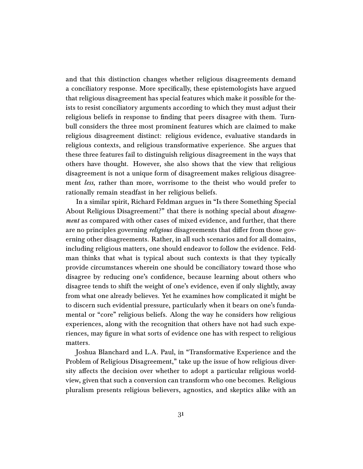and that this distinction changes whether religious disagreements demand a conciliatory response. More specifically, these epistemologists have argued that religious disagreement has special features which make it possible for theists to resist conciliatory arguments according to which they must adjust their religious beliefs in response to finding that peers disagree with them. Turnbull considers the three most prominent features which are claimed to make religious disagreement distinct: religious evidence, evaluative standards in religious contexts, and religious transformative experience. She argues that these three features fail to distinguish religious disagreement in the ways that others have thought. However, she also shows that the view that religious disagreement is not a unique form of disagreement makes religious disagreement less, rather than more, worrisome to the theist who would prefer to rationally remain steadfast in her religious beliefs.

In a similar spirit, Richard Feldman argues in "Is there Something Special About Religious Disagreement?" that there is nothing special about *disagreement* as compared with other cases of mixed evidence, and further, that there are no principles governing *religious* disagreements that differ from those governing other disagreements. Rather, in all such scenarios and for all domains, including religious matters, one should endeavor to follow the evidence. Feldman thinks that what is typical about such contexts is that they typically provide circumstances wherein one should be conciliatory toward those who disagree by reducing one's confidence, because learning about others who disagree tends to shift the weight of one's evidence, even if only slightly, away from what one already believes. Yet he examines how complicated it might be to discern such evidential pressure, particularly when it bears on one's fundamental or "core" religious beliefs. Along the way he considers how religious experiences, along with the recognition that others have not had such experiences, may figure in what sorts of evidence one has with respect to religious matters.

Joshua Blanchard and L.A. Paul, in "Transformative Experience and the Problem of Religious Disagreement," take up the issue of how religious diversity affects the decision over whether to adopt a particular religious worldview, given that such a conversion can transform who one becomes. Religious pluralism presents religious believers, agnostics, and skeptics alike with an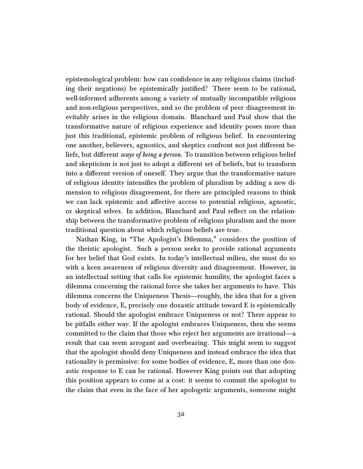epistemological problem: how can confidence in any religious claims (including their negations) be epistemically justified? There seem to be rational, well-informed adherents among a variety of mutually incompatible religious and non-religious perspectives, and so the problem of peer disagreement inevitably arises in the religious domain. Blanchard and Paul show that the transformative nature of religious experience and identity poses more than just this traditional, epistemic problem of religious belief. In encountering one another, believers, agnostics, and skeptics confront not just different beliefs, but different ways of being a person. To transition between religious belief and skepticism is not just to adopt a different set of beliefs, but to transform into a different version of oneself. They argue that the transformative nature of religious identity intensifies the problem of pluralism by adding a new dimension to religious disagreement, for there are principled reasons to think we can lack epistemic and affective access to potential religious, agnostic, or skeptical selves. In addition, Blanchard and Paul reflect on the relationship between the transformative problem of religious pluralism and the more traditional question about which religious beliefs are true.

Nathan King, in "The Apologist's Dilemma," considers the position of the theistic apologist. Such a person seeks to provide rational arguments for her belief that God exists. In today's intellectual milieu, she must do so with a keen awareness of religious diversity and disagreement. However, in an intellectual setting that calls for epistemic humility, the apologist faces a dilemma concerning the rational force she takes her arguments to have. This dilemma concerns the Uniqueness Thesis—roughly, the idea that for a given body of evidence, E, precisely one doxastic attitude toward E is epistemically rational. Should the apologist embrace Uniqueness or not? There appear to be pitfalls either way. If the apologist embraces Uniqueness, then she seems committed to the claim that those who reject her arguments are irrational—a result that can seem arrogant and overbearing. This might seem to suggest that the apologist should deny Uniqueness and instead embrace the idea that rationality is permissive: for some bodies of evidence, E, more than one doxastic response to E can be rational. However King points out that adopting this position appears to come at a cost: it seems to commit the apologist to the claim that even in the face of her apologetic arguments, someone might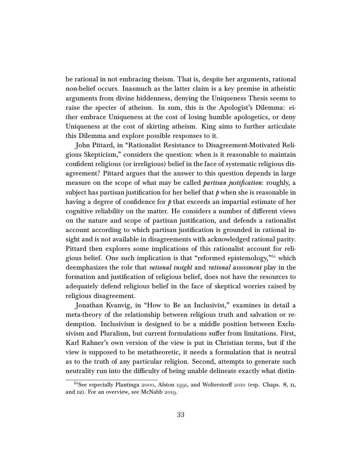be rational in not embracing theism. That is, despite her arguments, rational non-belief occurs. Inasmuch as the latter claim is a key premise in atheistic arguments from divine hiddenness, denying the Uniqueness Thesis seems to raise the specter of atheism. In sum, this is the Apologist's Dilemma: either embrace Uniqueness at the cost of losing humble apologetics, or deny Uniqueness at the cost of skirting atheism. King aims to further articulate this Dilemma and explore possible responses to it.

John Pittard, in "Rationalist Resistance to Disagreement-Motivated Religious Skepticism," considers the question: when is it reasonable to maintain confident religious (or irreligious) belief in the face of systematic religious disagreement? Pittard argues that the answer to this question depends in large measure on the scope of what may be called *partisan justification*: roughly, a subject has partisan justification for her belief that  $\rho$  when she is reasonable in having a degree of confidence for  $\phi$  that exceeds an impartial estimate of her cognitive reliability on the matter. He considers a number of different views on the nature and scope of partisan justification, and defends a rationalist account according to which partisan justification is grounded in rational insight and is not available in disagreements with acknowledged rational parity. Pittard then explores some implications of this rationalist account for reli-gious belief. One such implication is that "reformed epistemology,"<sup>[61](#page-32-0)</sup> which deemphasizes the role that rational insight and rational assessment play in the formation and justification of religious belief, does not have the resources to adequately defend religious belief in the face of skeptical worries raised by religious disagreement.

Jonathan Kvanvig, in "How to Be an Inclusivist," examines in detail a meta-theory of the relationship between religious truth and salvation or redemption. Inclusivism is designed to be a middle position between Exclusivism and Pluralism, but current formulations suffer from limitations. First, Karl Rahner's own version of the view is put in Christian terms, but if the view is supposed to be metatheoretic, it needs a formulation that is neutral as to the truth of any particular religion. Second, attempts to generate such neutrality run into the difficulty of being unable delineate exactly what distin-

<span id="page-32-0"></span> $61$ See especially Plantinga [2000,](#page-41-14) Alston [1991,](#page-34-4) and Wolterstorff [2010](#page-43-15) (esp. Chaps. 8, 11, and 12). For an overview, see McNabb [2019.](#page-41-15)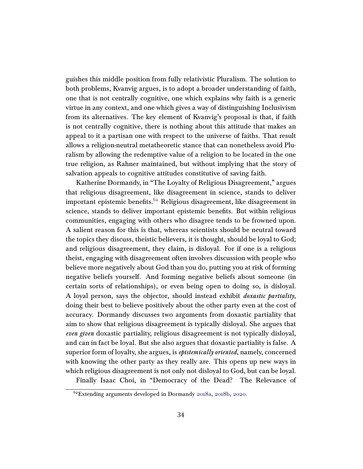guishes this middle position from fully relativistic Pluralism. The solution to both problems, Kvanvig argues, is to adopt a broader understanding of faith, one that is not centrally cognitive, one which explains why faith is a generic virtue in any context, and one which gives a way of distinguishing Inclusivism from its alternatives. The key element of Kvanvig's proposal is that, if faith is not centrally cognitive, there is nothing about this attitude that makes an appeal to it a partisan one with respect to the universe of faiths. That result allows a religion-neutral metatheoretic stance that can nonetheless avoid Pluralism by allowing the redemptive value of a religion to be located in the one true religion, as Rahner maintained, but without implying that the story of salvation appeals to cognitive attitudes constitutive of saving faith.

Katherine Dormandy, in "The Loyalty of Religious Disagreement," argues that religious disagreement, like disagreement in science, stands to deliver important epistemic benefits.<sup>[62](#page-33-0)</sup> Religious disagreement, like disagreement in science, stands to deliver important epistemic benefits. But within religious communities, engaging with others who disagree tends to be frowned upon. A salient reason for this is that, whereas scientists should be neutral toward the topics they discuss, theistic believers, it is thought, should be loyal to God; and religious disagreement, they claim, is disloyal. For if one is a religious theist, engaging with disagreement often involves discussion with people who believe more negatively about God than you do, putting you at risk of forming negative beliefs yourself. And forming negative beliefs about someone (in certain sorts of relationships), or even being open to doing so, is disloyal. A loyal person, says the objector, should instead exhibit doxastic partiality, doing their best to believe positively about the other party even at the cost of accuracy. Dormandy discusses two arguments from doxastic partiality that aim to show that religious disagreement is typically disloyal. She argues that even given doxastic partiality, religious disagreement is not typically disloyal, and can in fact be loyal. But she also argues that doxastic partiality is false. A superior form of loyalty, she argues, is *epistemically oriented*, namely, concerned with knowing the other party as they really are. This opens up new ways in which religious disagreement is not only not disloyal to God, but can be loyal.

Finally Isaac Choi, in "Democracy of the Dead? The Relevance of

<span id="page-33-0"></span><sup>62</sup>Extending arguments developed in Dormandy [2018a,](#page-36-11) [2018b,](#page-36-12) [2020.](#page-36-13)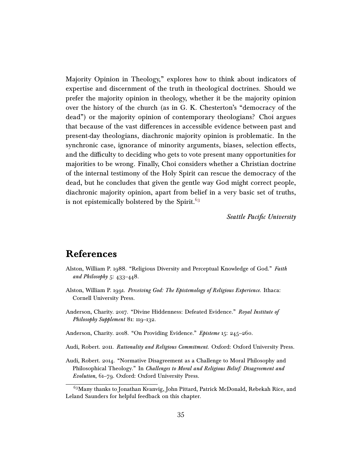Majority Opinion in Theology," explores how to think about indicators of expertise and discernment of the truth in theological doctrines. Should we prefer the majority opinion in theology, whether it be the majority opinion over the history of the church (as in G. K. Chesterton's "democracy of the dead") or the majority opinion of contemporary theologians? Choi argues that because of the vast differences in accessible evidence between past and present-day theologians, diachronic majority opinion is problematic. In the synchronic case, ignorance of minority arguments, biases, selection effects, and the difficulty to deciding who gets to vote present many opportunities for majorities to be wrong. Finally, Choi considers whether a Christian doctrine of the internal testimony of the Holy Spirit can rescue the democracy of the dead, but he concludes that given the gentle way God might correct people, diachronic majority opinion, apart from belief in a very basic set of truths, is not epistemically bolstered by the Spirit. $63$ 

Seattle Pacific University

# References

- <span id="page-34-3"></span>Alston, William P. 1988. "Religious Diversity and Perceptual Knowledge of God." Faith and Philosophy 5: 433–448.
- <span id="page-34-4"></span>Alston, William P. 1991. Perceiving God: The Epistemology of Religious Experience. Ithaca: Cornell University Press.
- <span id="page-34-5"></span>Anderson, Charity. 2017. "Divine Hiddenness: Defeated Evidence." Royal Institute of Philosophy Supplement 81: 119–132.
- <span id="page-34-2"></span>Anderson, Charity. 2018. "On Providing Evidence." Episteme 15: 245-260.
- <span id="page-34-0"></span>Audi, Robert. 2011. Rationality and Religious Commitment. Oxford: Oxford University Press.
- <span id="page-34-1"></span>Audi, Robert. 2014. "Normative Disagreement as a Challenge to Moral Philosophy and Philosophical Theology." In Challenges to Moral and Religious Belief: Disagreement and Evolution, 61–79. Oxford: Oxford University Press.

<span id="page-34-6"></span><sup>&</sup>lt;sup>63</sup>Many thanks to Jonathan Kvanvig, John Pittard, Patrick McDonald, Rebekah Rice, and Leland Saunders for helpful feedback on this chapter.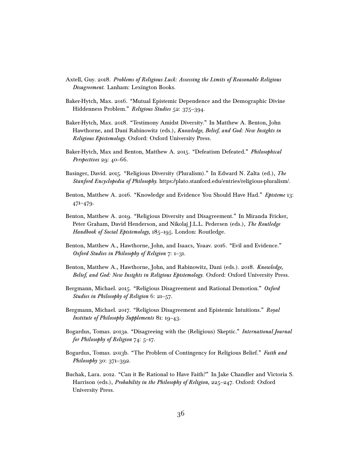- <span id="page-35-5"></span>Axtell, Guy. 2018. Problems of Religious Luck: Assessing the Limits of Reasonable Religious Disagreement. Lanham: Lexington Books.
- <span id="page-35-12"></span>Baker-Hytch, Max. 2016. "Mutual Epistemic Dependence and the Demographic Divine Hiddenness Problem." Religious Studies 52: 375-394.
- <span id="page-35-6"></span>Baker-Hytch, Max. 2018. "Testimony Amidst Diversity." In Matthew A. Benton, John Hawthorne, and Dani Rabinowitz (eds.), Knowledge, Belief, and God: New Insights in Religious Epistemology. Oxford: Oxford University Press.
- <span id="page-35-3"></span>Baker-Hytch, Max and Benton, Matthew A. 2015. "Defeatism Defeated." Philosophical Perspectives 29: 40–66.
- <span id="page-35-4"></span>Basinger, David. 2015. "Religious Diversity (Pluralism)." In Edward N. Zalta (ed.), The Stanford Encyclopedia of Philosophy. https://plato.stanford.edu/entries/religious-pluralism/.
- <span id="page-35-2"></span>Benton, Matthew A. 2016. "Knowledge and Evidence You Should Have Had." Episteme 13: 471–479.
- <span id="page-35-1"></span>Benton, Matthew A. 2019. "Religious Diversity and Disagreement." In Miranda Fricker, Peter Graham, David Henderson, and Nikolaj J.L.L. Pedersen (eds.), The Routledge Handbook of Social Epistemology, 185-195. London: Routledge.
- <span id="page-35-13"></span>Benton, Matthew A., Hawthorne, John, and Isaacs, Yoaav. 2016. "Evil and Evidence." Oxford Studies in Philosophy of Religion 7: 1–31.
- <span id="page-35-7"></span>Benton, Matthew A., Hawthorne, John, and Rabinowitz, Dani (eds.). 2018. Knowledge, Belief, and God: New Insights in Religious Epistemology. Oxford: Oxford University Press.
- <span id="page-35-9"></span>Bergmann, Michael. 2015. "Religious Disagreement and Rational Demotion." Oxford Studies in Philosophy of Religion 6: 21–57.
- <span id="page-35-10"></span>Bergmann, Michael. 2017. "Religious Disagreement and Epistemic Intuitions." Royal Institute of Philosophy Supplements 81: 19–43.
- <span id="page-35-8"></span>Bogardus, Tomas. 2013a. "Disagreeing with the (Religious) Skeptic." International Journal for Philosophy of Religion 74: 5–17.
- <span id="page-35-11"></span>Bogardus, Tomas. 2013b. "The Problem of Contingency for Religious Belief." Faith and Philosophy 30: 371-392.
- <span id="page-35-0"></span>Buchak, Lara. 2012. "Can it Be Rational to Have Faith?" In Jake Chandler and Victoria S. Harrison (eds.), Probability in the Philosophy of Religion, 225-247. Oxford: Oxford University Press.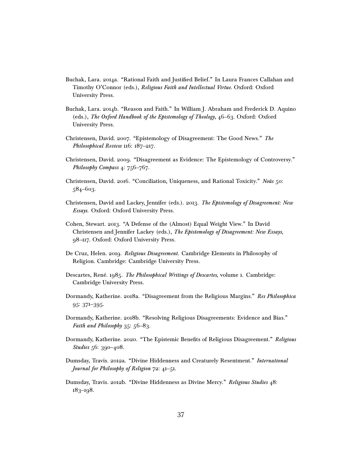- <span id="page-36-0"></span>Buchak, Lara. 2014a. "Rational Faith and Justified Belief." In Laura Frances Callahan and Timothy O'Connor (eds.), Religious Faith and Intellectual Virtue. Oxford: Oxford University Press.
- <span id="page-36-1"></span>Buchak, Lara. 2014b. "Reason and Faith." In William J. Abraham and Frederick D. Aquino (eds.), The Oxford Handbook of the Epistemology of Theology, 46–63. Oxford: Oxford University Press.
- <span id="page-36-4"></span>Christensen, David. 2007. "Epistemology of Disagreement: The Good News." The Philosophical Review 116: 187–217.
- <span id="page-36-3"></span>Christensen, David. 2009. "Disagreement as Evidence: The Epistemology of Controversy." Philosophy Compass 4: 756-767.
- <span id="page-36-6"></span>Christensen, David. 2016. "Conciliation, Uniqueness, and Rational Toxicity." Noûs 50: 584–603.
- <span id="page-36-2"></span>Christensen, David and Lackey, Jennifer (eds.). 2013. The Epistemology of Disagreement: New Essays. Oxford: Oxford University Press.
- <span id="page-36-5"></span>Cohen, Stewart. 2013. "A Defense of the (Almost) Equal Weight View." In David Christensen and Jennifer Lackey (eds.), The Epistemology of Disagreement: New Essays, 98–117. Oxford: Oxford University Press.
- <span id="page-36-7"></span>De Cruz, Helen. 2019. Religious Disagreement. Cambridge Elements in Philosophy of Religion. Cambridge: Cambridge University Press.
- <span id="page-36-8"></span>Descartes, René. 1985. The Philosophical Writings of Descartes, volume 1. Cambridge: Cambridge University Press.
- <span id="page-36-11"></span>Dormandy, Katherine. 2018a. "Disagreement from the Religious Margins." Res Philosophica 95: 371–395.
- <span id="page-36-12"></span>Dormandy, Katherine. 2018b. "Resolving Religious Disagreements: Evidence and Bias." Faith and Philosophy 35: 56-83.
- <span id="page-36-13"></span>Dormandy, Katherine. 2020. "The Epistemic Benefits of Religious Disagreement." Religious Studies 56: 390–408.
- <span id="page-36-9"></span>Dumsday, Travis. 2012a. "Divine Hiddenness and Creaturely Resentment." International Journal for Philosophy of Religion 72: 41–51.
- <span id="page-36-10"></span>Dumsday, Travis. 2012b. "Divine Hiddenness as Divine Mercy." Religious Studies 48: 183–198.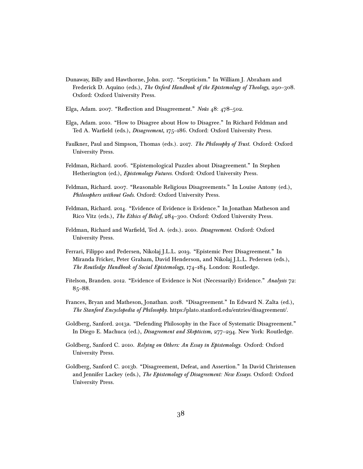- <span id="page-37-12"></span>Dunaway, Billy and Hawthorne, John. 2017. "Scepticism." In William J. Abraham and Frederick D. Aquino (eds.), The Oxford Handbook of the Epistemology of Theology, 290–308. Oxford: Oxford University Press.
- <span id="page-37-6"></span>Elga, Adam. 2007. "Reflection and Disagreement." Noûs 48: 478–502.
- <span id="page-37-11"></span>Elga, Adam. 2010. "How to Disagree about How to Disagree." In Richard Feldman and Ted A. Warfield (eds.), Disagreement, 175-186. Oxford: Oxford University Press.
- <span id="page-37-0"></span>Faulkner, Paul and Simpson, Thomas (eds.). 2017. The Philosophy of Trust. Oxford: Oxford University Press.
- <span id="page-37-4"></span>Feldman, Richard. 2006. "Epistemological Puzzles about Disagreement." In Stephen Hetherington (ed.), Epistemology Futures. Oxford: Oxford University Press.
- <span id="page-37-5"></span>Feldman, Richard. 2007. "Reasonable Religious Disagreements." In Louise Antony (ed.), Philosophers without Gods. Oxford: Oxford University Press.
- <span id="page-37-7"></span>Feldman, Richard. 2014. "Evidence of Evidence is Evidence." In Jonathan Matheson and Rico Vitz (eds.), The Ethics of Belief, 284–300. Oxford: Oxford University Press.
- <span id="page-37-1"></span>Feldman, Richard and Warfield, Ted A. (eds.). 2010. Disagreement. Oxford: Oxford University Press.
- <span id="page-37-3"></span>Ferrari, Filippo and Pedersen, Nikolaj J.L.L. 2019. "Epistemic Peer Disagreement." In Miranda Fricker, Peter Graham, David Henderson, and Nikolaj J.L.L. Pedersen (eds.), The Routledge Handbook of Social Epistemology, 174–184. London: Routledge.
- <span id="page-37-8"></span>Fitelson, Branden. 2012. "Evidence of Evidence is Not (Necessarily) Evidence." Analysis 72: 85–88.
- <span id="page-37-2"></span>Frances, Bryan and Matheson, Jonathan. 2018. "Disagreement." In Edward N. Zalta (ed.), The Stanford Encyclopedia of Philosophy. https://plato.stanford.edu/entries/disagreement/.
- <span id="page-37-10"></span>Goldberg, Sanford. 2013a. "Defending Philosophy in the Face of Systematic Disagreement." In Diego E. Machuca (ed.), Disagreement and Skepticism, 277-294. New York: Routledge.
- <span id="page-37-13"></span>Goldberg, Sanford C. 2010. Relying on Others: An Essay in Epistemology. Oxford: Oxford University Press.
- <span id="page-37-9"></span>Goldberg, Sanford C. 2013b. "Disagreement, Defeat, and Assertion." In David Christensen and Jennifer Lackey (eds.), The Epistemology of Disagreement: New Essays. Oxford: Oxford University Press.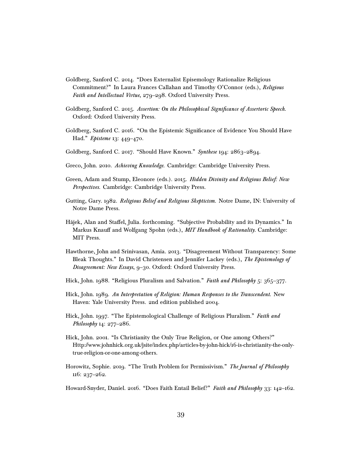- <span id="page-38-3"></span>Goldberg, Sanford C. 2014. "Does Externalist Episemology Rationalize Religious Commitment?" In Laura Frances Callahan and Timothy O'Connor (eds.), Religious Faith and Intellectual Virtue, 279–298. Oxford University Press.
- <span id="page-38-4"></span>Goldberg, Sanford C. 2015. Assertion: On the Philosophical Significance of Assertoric Speech. Oxford: Oxford University Press.
- <span id="page-38-7"></span>Goldberg, Sanford C. 2016. "On the Epistemic Significance of Evidence You Should Have Had." Episteme 13: 449–470.
- <span id="page-38-8"></span>Goldberg, Sanford C. 2017. "Should Have Known." Synthese 194: 2863–2894.
- <span id="page-38-5"></span>Greco, John. 2010. Achieving Knowledge. Cambridge: Cambridge University Press.
- <span id="page-38-13"></span>Green, Adam and Stump, Eleonore (eds.). 2015. Hidden Divinity and Religious Belief: New Perspectives. Cambridge: Cambridge University Press.
- <span id="page-38-9"></span>Gutting, Gary. 1982. Religious Belief and Religious Skepticism. Notre Dame, IN: University of Notre Dame Press.
- <span id="page-38-1"></span>Hájek, Alan and Staffel, Julia. forthcoming. "Subjective Probability and its Dynamics." In Markus Knauff and Wolfgang Spohn (eds.), MIT Handbook of Rationality. Cambridge: MIT Press.
- <span id="page-38-6"></span>Hawthorne, John and Srinivasan, Amia. 2013. "Disagreement Without Transparency: Some Bleak Thoughts." In David Christensen and Jennifer Lackey (eds.), The Epistemology of Disagreement: New Essays, 9–30. Oxford: Oxford University Press.
- <span id="page-38-10"></span>Hick, John. 1988. "Religious Pluralism and Salvation." Faith and Philosophy 5: 365–377.
- <span id="page-38-11"></span>Hick, John. 1989. An Interpretation of Religion: Human Responses to the Transcendent. New Haven: Yale University Press. 2nd edition published 2004.
- <span id="page-38-12"></span>Hick, John. 1997. "The Epistemological Challenge of Religious Pluralism." Faith and Philosophy 14: 277-286.
- <span id="page-38-14"></span>Hick, John. 2001. "Is Christianity the Only True Religion, or One among Others?" Http://www.johnhick.org.uk/jsite/index.php/articles-by-john-hick/16-is-christianity-the-onlytrue-religion-or-one-among-others.
- <span id="page-38-2"></span>Horowitz, Sophie. 2019. "The Truth Problem for Permissivism." The Journal of Philosophy 116: 237–262.
- <span id="page-38-0"></span>Howard-Snyder, Daniel. 2016. "Does Faith Entail Belief?" Faith and Philosophy 33: 142–162.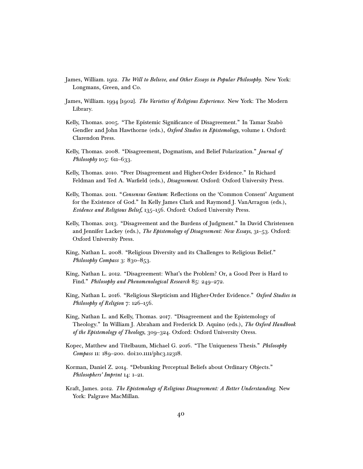- <span id="page-39-6"></span>James, William. 1912. The Will to Believe, and Other Essays in Popular Philosophy. New York: Longmans, Green, and Co.
- <span id="page-39-11"></span>James, William. 1994 [1902]. The Varieties of Religious Experience. New York: The Modern Library.
- <span id="page-39-4"></span>Kelly, Thomas. 2005. "The Epistemic Significance of Disagreement." In Tamar Szabò Gendler and John Hawthorne (eds.), Oxford Studies in Epistemology, volume 1. Oxford: Clarendon Press.
- <span id="page-39-7"></span>Kelly, Thomas. 2008. "Disagreement, Dogmatism, and Belief Polarization." Journal of Philosophy 105: 611-633.
- <span id="page-39-0"></span>Kelly, Thomas. 2010. "Peer Disagreement and Higher-Order Evidence." In Richard Feldman and Ted A. Warfield (eds.), *Disagreement*. Oxford: Oxford University Press.
- <span id="page-39-5"></span>Kelly, Thomas. 2011. "Consensus Gentium: Reflections on the 'Common Consent' Argument for the Existence of God." In Kelly James Clark and Raymond J. VanArragon (eds.), Evidence and Religious Belief, 135–156. Oxford: Oxford University Press.
- <span id="page-39-3"></span>Kelly, Thomas. 2013. "Disagreement and the Burdens of Judgment." In David Christensen and Jennifer Lackey (eds.), The Epistemology of Disagreement: New Essays, 31-53. Oxford: Oxford University Press.
- <span id="page-39-8"></span>King, Nathan L. 2008. "Religious Diversity and its Challenges to Religious Belief." Philosophy Compass 3: 830-853.
- <span id="page-39-1"></span>King, Nathan L. 2012. "Disagreement: What's the Problem? Or, a Good Peer is Hard to Find." Philosophy and Phenomenological Research 85: 249–272.
- <span id="page-39-12"></span>King, Nathan L. 2016. "Religious Skepticism and Higher-Order Evidence." Oxford Studies in Philosophy of Religion 7: 126-156.
- <span id="page-39-9"></span>King, Nathan L. and Kelly, Thomas. 2017. "Disagreement and the Epistemology of Theology." In William J. Abraham and Frederick D. Aquino (eds.), The Oxford Handbook of the Epistemology of Theology, 309–324. Oxford: Oxford University Oress.
- <span id="page-39-2"></span>Kopec, Matthew and Titelbaum, Michael G. 2016. "The Uniqueness Thesis." Philosophy Compass 11: 189–200. doi:10.1111/phc3.12318.
- <span id="page-39-13"></span>Korman, Daniel Z. 2014. "Debunking Perceptual Beliefs about Ordinary Objects." Philosophers' Imprint 14: 1–21.
- <span id="page-39-10"></span>Kraft, James. 2012. The Epistemology of Religious Disagreement: A Better Understanding. New York: Palgrave MacMillan.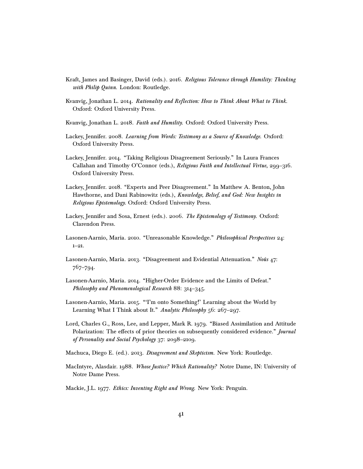- <span id="page-40-10"></span>Kraft, James and Basinger, David (eds.). 2016. Religious Tolerance through Humility: Thinking with Philip Quinn. London: Routledge.
- <span id="page-40-3"></span>Kvanvig, Jonathan L. 2014. Rationality and Reflection: How to Think About What to Think. Oxford: Oxford University Press.
- <span id="page-40-0"></span>Kvanvig, Jonathan L. 2018. Faith and Humility. Oxford: Oxford University Press.
- <span id="page-40-6"></span>Lackey, Jennifer. 2008. Learning from Words: Testimony as a Source of Knowledge. Oxford: Oxford University Press.
- <span id="page-40-14"></span>Lackey, Jennifer. 2014. "Taking Religious Disagreement Seriously." In Laura Frances Callahan and Timothy O'Connor (eds.), Religious Faith and Intellectual Virtue, 299-316. Oxford University Press.
- <span id="page-40-12"></span>Lackey, Jennifer. 2018. "Experts and Peer Disagreement." In Matthew A. Benton, John Hawthorne, and Dani Rabinowitz (eds.), Knowledge, Belief, and God: New Insights in Religious Epistemology. Oxford: Oxford University Press.
- <span id="page-40-13"></span>Lackey, Jennifer and Sosa, Ernest (eds.). 2006. The Epistemology of Testimony. Oxford: Clarendon Press.
- <span id="page-40-4"></span>Lasonen-Aarnio, Maria. 2010. "Unreasonable Knowledge." Philosophical Perspectives 24: 1–21.
- <span id="page-40-8"></span>Lasonen-Aarnio, Maria. 2013. "Disagreement and Evidential Attenuation." Noûs 47: 767–794.
- <span id="page-40-5"></span>Lasonen-Aarnio, Maria. 2014. "Higher-Order Evidence and the Limits of Defeat." Philosophy and Phenomenological Research 88: 314–345.
- <span id="page-40-7"></span>Lasonen-Aarnio, Maria. 2015. "'I'm onto Something!' Learning about the World by Learning What I Think about It." Analytic Philosophy 56: 267-297.
- <span id="page-40-9"></span>Lord, Charles G., Ross, Lee, and Lepper, Mark R. 1979. "Biased Assimilation and Attitude Polarization: The effects of prior theories on subsequently considered evidence." Journal of Personality and Social Psychology 37: 2098–2109.
- <span id="page-40-2"></span>Machuca, Diego E. (ed.). 2013. Disagreement and Skepticism. New York: Routledge.
- <span id="page-40-11"></span>MacIntyre, Alasdair. 1988. Whose Justice? Which Rationality? Notre Dame, IN: University of Notre Dame Press.
- <span id="page-40-1"></span>Mackie, J.L. 1977. Ethics: Inventing Right and Wrong. New York: Penguin.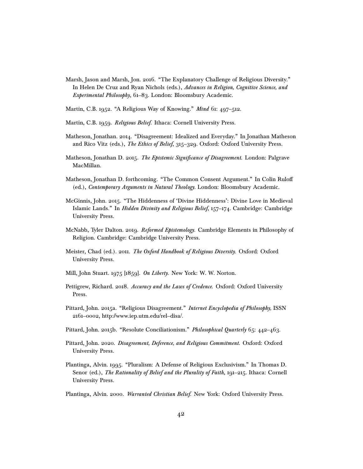- <span id="page-41-12"></span>Marsh, Jason and Marsh, Jon. 2016. "The Explanatory Challenge of Religious Diversity." In Helen De Cruz and Ryan Nichols (eds.), Advances in Religion, Cognitive Science, and Experimental Philosophy, 61–83. London: Bloomsbury Academic.
- <span id="page-41-8"></span>Martin, C.B. 1952. "A Religious Way of Knowing." *Mind* 61: 497–512.
- <span id="page-41-9"></span>Martin, C.B. 1959. Religious Belief. Ithaca: Cornell University Press.
- <span id="page-41-0"></span>Matheson, Jonathan. 2014. "Disagreement: Idealized and Everyday." In Jonathan Matheson and Rico Vitz (eds.), The Ethics of Belief, 315–329. Oxford: Oxford University Press.
- <span id="page-41-1"></span>Matheson, Jonathan D. 2015. The Epistemic Significance of Disagreement. London: Palgrave MacMillan.
- <span id="page-41-13"></span>Matheson, Jonathan D. forthcoming. "The Common Consent Argument." In Colin Rulo (ed.), Contemporary Arguments in Natural Theology. London: Bloomsbury Academic.
- <span id="page-41-11"></span>McGinnis, John. 2015. "The Hiddenness of 'Divine Hiddenness': Divine Love in Medieval Islamic Lands." In Hidden Divinity and Religious Belief, 157–174. Cambridge: Cambridge University Press.
- <span id="page-41-15"></span>McNabb, Tyler Dalton. 2019. Reformed Epistemology. Cambridge Elements in Philosophy of Religion. Cambridge: Cambridge University Press.
- <span id="page-41-7"></span>Meister, Chad (ed.). 2011. The Oxford Handbook of Religious Diversity. Oxford: Oxford University Press.
- <span id="page-41-10"></span>Mill, John Stuart. 1975 [1859]. On Liberty. New York: W. W. Norton.
- <span id="page-41-2"></span>Pettigrew, Richard. 2018. Accuracy and the Laws of Credence. Oxford: Oxford University Press.
- <span id="page-41-6"></span>Pittard, John. 2015a. "Religious Disagreement." Internet Encyclopedia of Philosophy, ISSN 2161–0002, http://www.iep.utm.edu/rel–disa/.
- <span id="page-41-3"></span>Pittard, John. 2015b. "Resolute Conciliationism." Philosophical Quarterly 65: 442–463.
- <span id="page-41-4"></span>Pittard, John. 2020. Disagreement, Deference, and Religious Commitment. Oxford: Oxford University Press.
- <span id="page-41-5"></span>Plantinga, Alvin. 1995. "Pluralism: A Defense of Religious Exclusivism." In Thomas D. Senor (ed.), The Rationality of Belief and the Plurality of Faith, 191-215. Ithaca: Cornell University Press.
- <span id="page-41-14"></span>Plantinga, Alvin. 2000. Warranted Christian Belief. New York: Oxford University Press.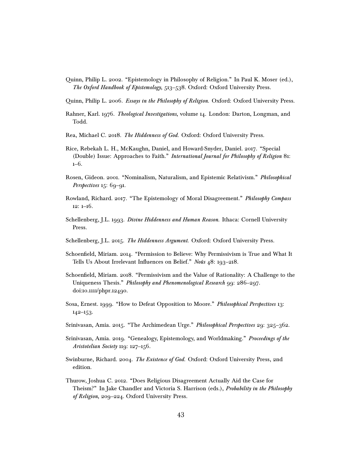- <span id="page-42-10"></span>Quinn, Philip L. 2002. "Epistemology in Philosophy of Religion." In Paul K. Moser (ed.), The Oxford Handbook of Epistemology, 513–538. Oxford: Oxford University Press.
- <span id="page-42-9"></span>Quinn, Philip L. 2006. Essays in the Philosophy of Religion. Oxford: Oxford University Press.
- <span id="page-42-15"></span>Rahner, Karl. 1976. Theological Investigations, volume 14. London: Darton, Longman, and Todd.
- <span id="page-42-14"></span>Rea, Michael C. 2018. The Hiddenness of God. Oxford: Oxford University Press.
- <span id="page-42-0"></span>Rice, Rebekah L. H., McKaughn, Daniel, and Howard-Snyder, Daniel. 2017. "Special (Double) Issue: Approaches to Faith." International Journal for Philosophy of Religion 81: 1–6.
- <span id="page-42-6"></span>Rosen, Gideon. 2001. "Nominalism, Naturalism, and Epistemic Relativism." Philosophical Perspectives 15: 69-91.
- <span id="page-42-1"></span>Rowland, Richard. 2017. "The Epistemology of Moral Disagreement." Philosophy Compass 12: 1–16.
- <span id="page-42-12"></span>Schellenberg, J.L. 1993. *Divine Hiddenness and Human Reason*. Ithaca: Cornell University Press.
- <span id="page-42-13"></span>Schellenberg, J.L. 2015. The Hiddenness Argument. Oxford: Oxford University Press.
- <span id="page-42-2"></span>Schoenfield, Miriam. 2014. "Permission to Believe: Why Permissivism is True and What It Tells Us About Irrelevant Influences on Belief." Noûs 48: 193–218.
- <span id="page-42-3"></span>Schoenfield, Miriam. 2018. "Permissivism and the Value of Rationality: A Challenge to the Uniqueness Thesis." Philosophy and Phenomenological Research 99: 286–297. doi:10.1111/phpr.12490.
- <span id="page-42-11"></span>Sosa, Ernest. 1999. "How to Defeat Opposition to Moore." Philosophical Perspectives 13: 142–153.
- <span id="page-42-4"></span>Srinivasan, Amia. 2015. "The Archimedean Urge." Philosophical Perspectives 29: 325–362.
- <span id="page-42-5"></span>Srinivasan, Amia. 2019. "Genealogy, Epistemology, and Worldmaking." Proceedings of the Aristotelian Society 119: 127–156.
- <span id="page-42-7"></span>Swinburne, Richard. 2004. The Existence of God. Oxford: Oxford University Press, 2nd edition.
- <span id="page-42-8"></span>Thurow, Joshua C. 2012. "Does Religious Disagreement Actually Aid the Case for Theism?" In Jake Chandler and Victoria S. Harrison (eds.), Probability in the Philosophy of Religion, 209–224. Oxford University Press.